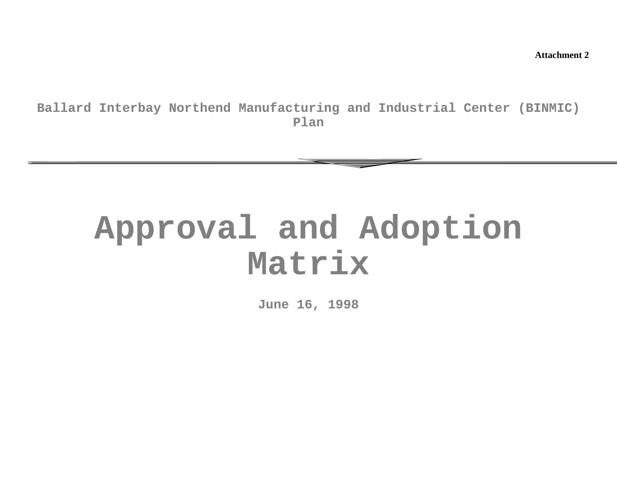**Attachment 2**

**Ballard Interbay Northend Manufacturing and Industrial Center (BINMIC) Plan**

# **Approval and Adoption Matrix**

**June 16, 1998**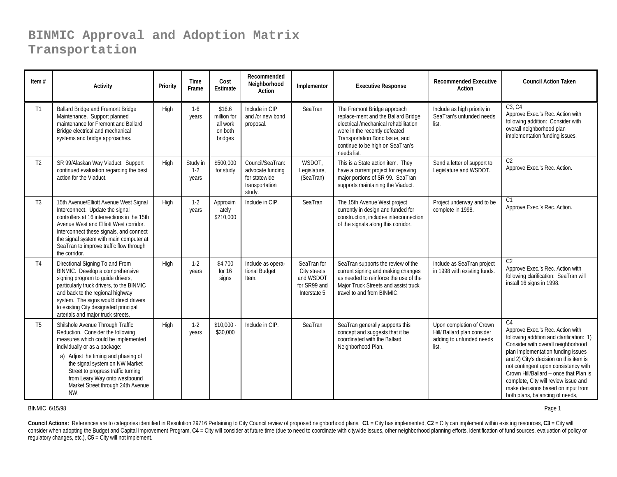| Item $#$       | <b>Activity</b>                                                                                                                                                                                                                                                                                                                           | Priority | Time<br>Frame              | Cost<br>Estimate                                        | Recommended<br>Neighborhood<br>Action                                             | Implementor                                                              | <b>Executive Response</b>                                                                                                                                                                                                         | <b>Recommended Executive</b><br>Action                                                       | <b>Council Action Taken</b>                                                                                                                                                                                                                                                                                                                                                                                   |
|----------------|-------------------------------------------------------------------------------------------------------------------------------------------------------------------------------------------------------------------------------------------------------------------------------------------------------------------------------------------|----------|----------------------------|---------------------------------------------------------|-----------------------------------------------------------------------------------|--------------------------------------------------------------------------|-----------------------------------------------------------------------------------------------------------------------------------------------------------------------------------------------------------------------------------|----------------------------------------------------------------------------------------------|---------------------------------------------------------------------------------------------------------------------------------------------------------------------------------------------------------------------------------------------------------------------------------------------------------------------------------------------------------------------------------------------------------------|
| T1             | Ballard Bridge and Fremont Bridge<br>Maintenance. Support planned<br>maintenance for Fremont and Ballard<br>Bridge electrical and mechanical<br>systems and bridge approaches.                                                                                                                                                            | High     | $1-6$<br>years             | \$16.6<br>million for<br>all work<br>on both<br>bridges | Include in CIP<br>and /or new bond<br>proposal.                                   | SeaTran                                                                  | The Fremont Bridge approach<br>replace-ment and the Ballard Bridge<br>electrical /mechanical rehabilitation<br>were in the recently defeated<br>Transportation Bond Issue, and<br>continue to be high on SeaTran's<br>needs list. | Include as high priority in<br>SeaTran's unfunded needs<br>list.                             | C3, C4<br>Approve Exec.'s Rec. Action with<br>following addition: Consider with<br>overall neighborhood plan<br>implementation funding issues.                                                                                                                                                                                                                                                                |
| T <sub>2</sub> | SR 99/Alaskan Way Viaduct. Support<br>continued evaluation regarding the best<br>action for the Viaduct.                                                                                                                                                                                                                                  | High     | Study in<br>$1-2$<br>years | \$500,000<br>for study                                  | Council/SeaTran:<br>advocate funding<br>for statewide<br>transportation<br>study. | WSDOT,<br>Legislature,<br>(SeaTran)                                      | This is a State action item. They<br>have a current project for repaving<br>major portions of SR 99. SeaTran<br>supports maintaining the Viaduct.                                                                                 | Send a letter of support to<br>Legislature and WSDOT.                                        | C <sub>2</sub><br>Approve Exec.'s Rec. Action.                                                                                                                                                                                                                                                                                                                                                                |
| T3             | 15th Avenue/Elliott Avenue West Signal<br>Interconnect. Update the signal<br>controllers at 16 intersections in the 15th<br>Avenue West and Elliott West corridor.<br>Interconnect these signals, and connect<br>the signal system with main computer at<br>SeaTran to improve traffic flow through<br>the corridor.                      | High     | $1-2$<br>years             | Approxim<br>ately<br>\$210,000                          | Include in CIP.                                                                   | SeaTran                                                                  | The 15th Avenue West project<br>currently in design and funded for<br>construction, includes interconnection<br>of the signals along this corridor.                                                                               | Project underway and to be<br>complete in 1998.                                              | C <sub>1</sub><br>Approve Exec.'s Rec. Action.                                                                                                                                                                                                                                                                                                                                                                |
| T <sub>4</sub> | Directional Signing To and From<br>BINMIC. Develop a comprehensive<br>signing program to guide drivers,<br>particularly truck drivers, to the BINMIC<br>and back to the regional highway<br>system. The signs would direct drivers<br>to existing City designated principal<br>arterials and major truck streets.                         | High     | $1-2$<br>years             | \$4,700<br>for $16$<br>signs                            | Include as opera-<br>tional Budget<br>Item.                                       | SeaTran for<br>City streets<br>and WSDOT<br>for SR99 and<br>Interstate 5 | SeaTran supports the review of the<br>current signing and making changes<br>as needed to reinforce the use of the<br>Major Truck Streets and assist truck<br>travel to and from BINMIC.                                           | Include as SeaTran project<br>in 1998 with existing funds.                                   | C <sub>2</sub><br>Approve Exec.'s Rec. Action with<br>following clarification: SeaTran will<br>install 16 signs in 1998.                                                                                                                                                                                                                                                                                      |
| T <sub>5</sub> | Shilshole Avenue Through Traffic<br>Reduction. Consider the following<br>measures which could be implemented<br>individually or as a package:<br>a) Adjust the timing and phasing of<br>the signal system on NW Market<br>Street to progress traffic turning<br>from Leary Way onto westbound<br>Market Street through 24th Avenue<br>NW. | High     | $1-2$<br>years             | \$10,000<br>\$30,000                                    | Include in CIP.                                                                   | SeaTran                                                                  | SeaTran generally supports this<br>concept and suggests that it be<br>coordinated with the Ballard<br>Neighborhood Plan.                                                                                                          | Upon completion of Crown<br>Hill/ Ballard plan consider<br>adding to unfunded needs<br>list. | C.4<br>Approve Exec.'s Rec. Action with<br>following addition and clarification: 1)<br>Consider with overall neighborhood<br>plan implementation funding issues<br>and 2) City's decision on this item is<br>not contingent upon consistency with<br>Crown Hill/Ballard -- once that Plan is<br>complete, City will review issue and<br>make decisions based on input from<br>both plans, balancing of needs, |

#### BINMIC 6/15/98

Page 1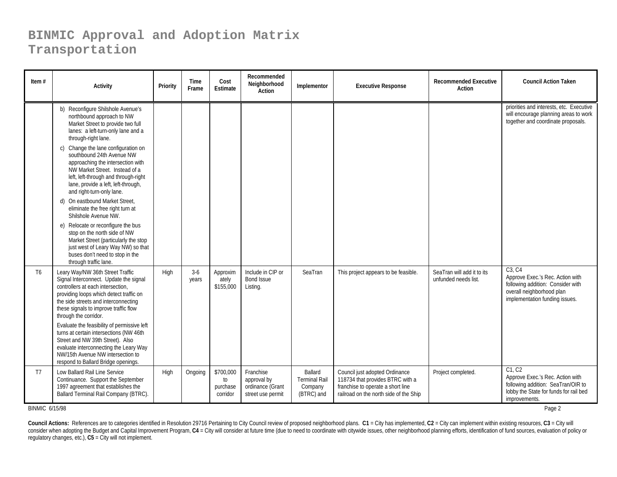| Item $#$       | <b>Activity</b>                                                                                                                                                                                                                                                                                                                                                                                                                                                                                                                                                                                                                                                                                              | Priority | Time<br>Frame  | Cost<br>Estimate                        | Recommended<br>Neighborhood<br>Action                             | Implementor                                              | <b>Executive Response</b>                                                                                                                         | <b>Recommended Executive</b><br><b>Action</b>      | <b>Council Action Taken</b>                                                                                                                    |
|----------------|--------------------------------------------------------------------------------------------------------------------------------------------------------------------------------------------------------------------------------------------------------------------------------------------------------------------------------------------------------------------------------------------------------------------------------------------------------------------------------------------------------------------------------------------------------------------------------------------------------------------------------------------------------------------------------------------------------------|----------|----------------|-----------------------------------------|-------------------------------------------------------------------|----------------------------------------------------------|---------------------------------------------------------------------------------------------------------------------------------------------------|----------------------------------------------------|------------------------------------------------------------------------------------------------------------------------------------------------|
|                | b) Reconfigure Shilshole Avenue's<br>northbound approach to NW<br>Market Street to provide two full<br>lanes: a left-turn-only lane and a<br>through-right lane.<br>c) Change the lane configuration on<br>southbound 24th Avenue NW<br>approaching the intersection with<br>NW Market Street. Instead of a<br>left, left-through and through-right<br>lane, provide a left, left-through,<br>and right-turn-only lane.<br>d) On eastbound Market Street,<br>eliminate the free right turn at<br>Shilshole Avenue NW.<br>e) Relocate or reconfigure the bus<br>stop on the north side of NW<br>Market Street (particularly the stop<br>just west of Leary Way NW) so that<br>buses don't need to stop in the |          |                |                                         |                                                                   |                                                          |                                                                                                                                                   |                                                    | priorities and interests, etc. Executive<br>will encourage planning areas to work<br>together and coordinate proposals.                        |
| T <sub>6</sub> | through traffic lane.<br>Leary Way/NW 36th Street Traffic<br>Signal Interconnect. Update the signal<br>controllers at each intersection,<br>providing loops which detect traffic on<br>the side streets and interconnecting<br>these signals to improve traffic flow<br>through the corridor.<br>Evaluate the feasibility of permissive left<br>turns at certain intersections (NW 46th<br>Street and NW 39th Street). Also<br>evaluate interconnecting the Leary Way<br>NW/15th Avenue NW intersection to<br>respond to Ballard Bridge openings.                                                                                                                                                            | High     | $3-6$<br>years | Approxim<br>ately<br>\$155,000          | Include in CIP or<br><b>Bond Issue</b><br>Listing.                | SeaTran                                                  | This project appears to be feasible.                                                                                                              | SeaTran will add it to its<br>unfunded needs list. | C3. C4<br>Approve Exec.'s Rec. Action with<br>following addition: Consider with<br>overall neighborhood plan<br>implementation funding issues. |
| T7             | Low Ballard Rail Line Service<br>Continuance. Support the September<br>1997 agreement that establishes the<br>Ballard Terminal Rail Company (BTRC).                                                                                                                                                                                                                                                                                                                                                                                                                                                                                                                                                          | High     | Ongoing        | \$700,000<br>to<br>purchase<br>corridor | Franchise<br>approval by<br>ordinance (Grant<br>street use permit | Ballard<br><b>Terminal Rail</b><br>Company<br>(BTRC) and | Council just adopted Ordinance<br>118734 that provides BTRC with a<br>franchise to operate a short line<br>railroad on the north side of the Ship | Project completed.                                 | C1. C2<br>Approve Exec.'s Rec. Action with<br>following addition: SeaTran/OIR to<br>lobby the State for funds for rail bed<br>improvements.    |

BINMIC 6/15/98

Page 2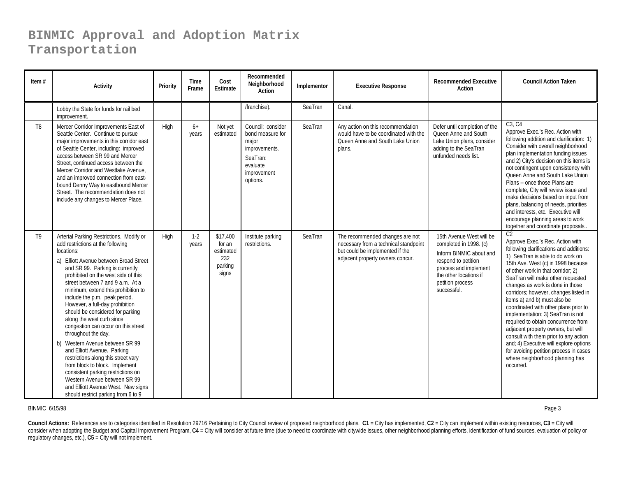| Item $#$       | Activity                                                                                                                                                                                                                                                                                                                                                                                                                                                                                                                                                                                                                                                                                                                                                                                    | Priority | <b>Time</b><br>Frame | Cost<br>Estimate                                           | Recommended<br>Neighborhood<br>Action                                                                              | Implementor | <b>Executive Response</b>                                                                                                                       | <b>Recommended Executive</b><br>Action                                                                                                                                                     | <b>Council Action Taken</b>                                                                                                                                                                                                                                                                                                                                                                                                                                                                                                                                                                                                                                                                             |
|----------------|---------------------------------------------------------------------------------------------------------------------------------------------------------------------------------------------------------------------------------------------------------------------------------------------------------------------------------------------------------------------------------------------------------------------------------------------------------------------------------------------------------------------------------------------------------------------------------------------------------------------------------------------------------------------------------------------------------------------------------------------------------------------------------------------|----------|----------------------|------------------------------------------------------------|--------------------------------------------------------------------------------------------------------------------|-------------|-------------------------------------------------------------------------------------------------------------------------------------------------|--------------------------------------------------------------------------------------------------------------------------------------------------------------------------------------------|---------------------------------------------------------------------------------------------------------------------------------------------------------------------------------------------------------------------------------------------------------------------------------------------------------------------------------------------------------------------------------------------------------------------------------------------------------------------------------------------------------------------------------------------------------------------------------------------------------------------------------------------------------------------------------------------------------|
|                | Lobby the State for funds for rail bed<br>improvement.                                                                                                                                                                                                                                                                                                                                                                                                                                                                                                                                                                                                                                                                                                                                      |          |                      |                                                            | /franchise).                                                                                                       | SeaTran     | Canal.                                                                                                                                          |                                                                                                                                                                                            |                                                                                                                                                                                                                                                                                                                                                                                                                                                                                                                                                                                                                                                                                                         |
| T <sub>8</sub> | Mercer Corridor Improvements East of<br>Seattle Center. Continue to pursue<br>major improvements in this corridor east<br>of Seattle Center, including: improved<br>access between SR 99 and Mercer<br>Street, continued access between the<br>Mercer Corridor and Westlake Avenue.<br>and an improved connection from east-<br>bound Denny Way to eastbound Mercer<br>Street. The recommendation does not<br>include any changes to Mercer Place.                                                                                                                                                                                                                                                                                                                                          | High     | $6+$<br>years        | Not yet<br>estimated                                       | Council: consider<br>bond measure for<br>major<br>improvements.<br>SeaTran:<br>evaluate<br>improvement<br>options. | SeaTran     | Any action on this recommendation<br>would have to be coordinated with the<br>Oueen Anne and South Lake Union<br>plans.                         | Defer until completion of the<br>Queen Anne and South<br>Lake Union plans, consider<br>adding to the SeaTran<br>unfunded needs list.                                                       | C3, C4<br>Approve Exec.'s Rec. Action with<br>following addition and clarification: 1)<br>Consider with overall neighborhood<br>plan implementation funding issues<br>and 2) City's decision on this items is<br>not contingent upon consistency with<br>Queen Anne and South Lake Union<br>Plans -- once those Plans are<br>complete, City will review issue and<br>make decisions based on input from<br>plans, balancing of needs, priorities<br>and interests, etc. Executive will<br>encourage planning areas to work<br>together and coordinate proposals                                                                                                                                         |
| T9             | Arterial Parking Restrictions. Modify or<br>add restrictions at the following<br>locations:<br>a) Elliott Avenue between Broad Street<br>and SR 99. Parking is currently<br>prohibited on the west side of this<br>street between 7 and 9 a.m. At a<br>minimum, extend this prohibition to<br>include the p.m. peak period.<br>However, a full-day prohibition<br>should be considered for parking<br>along the west curb since<br>congestion can occur on this street<br>throughout the day.<br>b) Western Avenue between SR 99<br>and Elliott Avenue. Parking<br>restrictions along this street vary<br>from block to block. Implement<br>consistent parking restrictions on<br>Western Avenue between SR 99<br>and Elliott Avenue West. New signs<br>should restrict parking from 6 to 9 | High     | $1 - 2$<br>years     | \$17,400<br>for an<br>estimated<br>232<br>parking<br>signs | Institute parking<br>restrictions.                                                                                 | SeaTran     | The recommended changes are not<br>necessary from a technical standpoint<br>but could be implemented if the<br>adjacent property owners concur. | 15th Avenue West will be<br>completed in 1998. (c)<br>Inform BINMIC about and<br>respond to petition<br>process and implement<br>the other locations if<br>petition process<br>successful. | C <sub>2</sub><br>Approve Exec.'s Rec. Action with<br>following clarifications and additions:<br>1) SeaTran is able to do work on<br>15th Ave. West (c) in 1998 because<br>of other work in that corridor; 2)<br>SeaTran will make other requested<br>changes as work is done in those<br>corridors; however, changes listed in<br>items a) and b) must also be<br>coordinated with other plans prior to<br>implementation; 3) SeaTran is not<br>required to obtain concurrence from<br>adjacent property owners, but will<br>consult with them prior to any action<br>and; 4) Executive will explore options<br>for avoiding petition process in cases<br>where neighborhood planning has<br>occurred. |

#### BINMIC 6/15/98

8 and the contract of the contract of the contract of the contract of the contract of the contract of the contract of the contract of the contract of the contract of the contract of the contract of the contract of the cont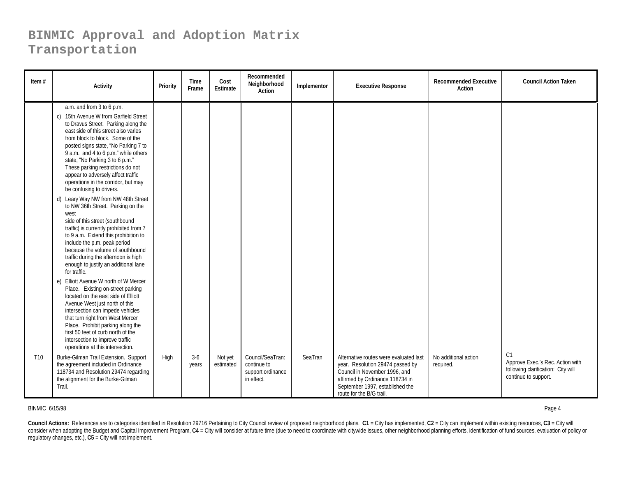| Item $#$        | <b>Activity</b>                                                                                                                                                                                                                                                                                                                                                                                                                                                                                                                                                                                                                                                                                                                                                                                                                                                                                                                                           | Priority | <b>Time</b><br>Frame | Cost<br>Estimate     | Recommended<br>Neighborhood<br>Action                              | Implementor | <b>Executive Response</b>                                                                                                                                                                                     | <b>Recommended Executive</b><br><b>Action</b> | <b>Council Action Taken</b>                                                                                      |
|-----------------|-----------------------------------------------------------------------------------------------------------------------------------------------------------------------------------------------------------------------------------------------------------------------------------------------------------------------------------------------------------------------------------------------------------------------------------------------------------------------------------------------------------------------------------------------------------------------------------------------------------------------------------------------------------------------------------------------------------------------------------------------------------------------------------------------------------------------------------------------------------------------------------------------------------------------------------------------------------|----------|----------------------|----------------------|--------------------------------------------------------------------|-------------|---------------------------------------------------------------------------------------------------------------------------------------------------------------------------------------------------------------|-----------------------------------------------|------------------------------------------------------------------------------------------------------------------|
|                 | a.m. and from 3 to 6 p.m.<br>c) 15th Avenue W from Garfield Street<br>to Dravus Street. Parking along the<br>east side of this street also varies<br>from block to block. Some of the<br>posted signs state, "No Parking 7 to<br>9 a.m. and 4 to 6 p.m." while others<br>state, "No Parking 3 to 6 p.m."<br>These parking restrictions do not<br>appear to adversely affect traffic<br>operations in the corridor, but may<br>be confusing to drivers.<br>d) Leary Way NW from NW 48th Street<br>to NW 36th Street. Parking on the<br>west<br>side of this street (southbound<br>traffic) is currently prohibited from 7<br>to 9 a.m. Extend this prohibition to<br>include the p.m. peak period<br>because the volume of southbound<br>traffic during the afternoon is high<br>enough to justify an additional lane<br>for traffic.<br>e) Elliott Avenue W north of W Mercer<br>Place. Existing on-street parking<br>located on the east side of Elliott |          |                      |                      |                                                                    |             |                                                                                                                                                                                                               |                                               |                                                                                                                  |
|                 | Avenue West just north of this<br>intersection can impede vehicles<br>that turn right from West Mercer<br>Place. Prohibit parking along the<br>first 50 feet of curb north of the<br>intersection to improve traffic<br>operations at this intersection.                                                                                                                                                                                                                                                                                                                                                                                                                                                                                                                                                                                                                                                                                                  |          |                      |                      |                                                                    |             |                                                                                                                                                                                                               |                                               |                                                                                                                  |
| T <sub>10</sub> | Burke-Gilman Trail Extension. Support<br>the agreement included in Ordinance<br>118734 and Resolution 29474 regarding<br>the alignment for the Burke-Gilman<br>Trail.                                                                                                                                                                                                                                                                                                                                                                                                                                                                                                                                                                                                                                                                                                                                                                                     | High     | $3-6$<br>years       | Not yet<br>estimated | Council/SeaTran:<br>continue to<br>support ordinance<br>in effect. | SeaTran     | Alternative routes were evaluated last<br>year. Resolution 29474 passed by<br>Council in November 1996, and<br>affirmed by Ordinance 118734 in<br>September 1997, established the<br>route for the B/G trail. | No additional action<br>required.             | C <sub>1</sub><br>Approve Exec.'s Rec. Action with<br>following clarification: City will<br>continue to support. |

#### BINMIC 6/15/98

Page 4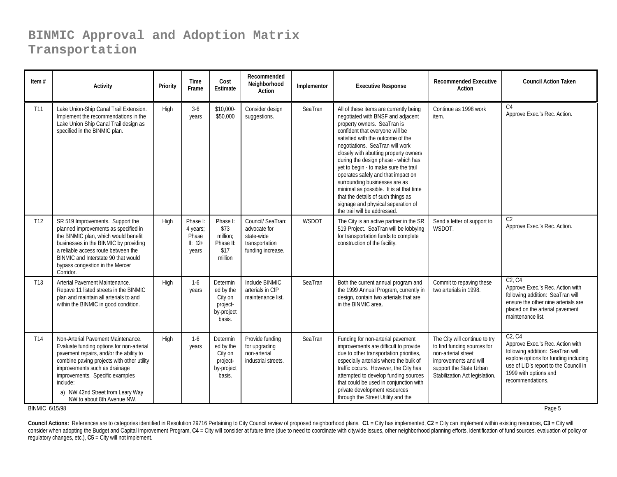| Item $#$        | <b>Activity</b>                                                                                                                                                                                                                                                                                                            | Priority    | <b>Time</b><br>Frame                                | Cost<br><b>Estimate</b>                                              | Recommended<br>Neighborhood<br>Action                                                  | Implementor | <b>Executive Response</b>                                                                                                                                                                                                                                                                                                                                                                                                                                                                                                                                                    | <b>Recommended Executive</b><br>Action                                                                                                                                    | <b>Council Action Taken</b>                                                                                                                                                                                                            |
|-----------------|----------------------------------------------------------------------------------------------------------------------------------------------------------------------------------------------------------------------------------------------------------------------------------------------------------------------------|-------------|-----------------------------------------------------|----------------------------------------------------------------------|----------------------------------------------------------------------------------------|-------------|------------------------------------------------------------------------------------------------------------------------------------------------------------------------------------------------------------------------------------------------------------------------------------------------------------------------------------------------------------------------------------------------------------------------------------------------------------------------------------------------------------------------------------------------------------------------------|---------------------------------------------------------------------------------------------------------------------------------------------------------------------------|----------------------------------------------------------------------------------------------------------------------------------------------------------------------------------------------------------------------------------------|
| T11             | Lake Union-Ship Canal Trail Extension.<br>Implement the recommendations in the<br>Lake Union Ship Canal Trail design as<br>specified in the BINMIC plan.                                                                                                                                                                   | High        | $3-6$<br>years                                      | \$10,000-<br>\$50,000                                                | Consider design<br>suggestions.                                                        | SeaTran     | All of these items are currently being<br>negotiated with BNSF and adjacent<br>property owners. SeaTran is<br>confident that everyone will be<br>satisfied with the outcome of the<br>negotiations. SeaTran will work<br>closely with abutting property owners<br>during the design phase - which has<br>yet to begin - to make sure the trail<br>operates safely and that impact on<br>surrounding businesses are as<br>minimal as possible. It is at that time<br>that the details of such things as<br>signage and physical separation of<br>the trail will be addressed. | Continue as 1998 work<br>item.                                                                                                                                            | C <sub>4</sub><br>Approve Exec.'s Rec. Action.                                                                                                                                                                                         |
| T <sub>12</sub> | SR 519 Improvements. Support the<br>planned improvements as specified in<br>the BINMIC plan, which would benefit<br>businesses in the BINMIC by providing<br>a reliable access route between the<br>BINMIC and Interstate 90 that would<br>bypass congestion in the Mercer<br>Corridor.                                    | High        | Phase I:<br>4 years;<br>Phase<br>$II: 12+$<br>years | Phase I:<br>\$73<br>million;<br>Phase II:<br>\$17<br>million         | Council/ SeaTran:<br>advocate for<br>state-wide<br>transportation<br>funding increase. | WSDOT       | The City is an active partner in the SR<br>519 Project. SeaTran will be lobbying<br>for transportation funds to complete<br>construction of the facility.                                                                                                                                                                                                                                                                                                                                                                                                                    | Send a letter of support to<br>WSDOT.                                                                                                                                     | C <sub>2</sub><br>Approve Exec.'s Rec. Action.                                                                                                                                                                                         |
| T <sub>13</sub> | Arterial Pavement Maintenance.<br>Repave 11 listed streets in the BINMIC<br>plan and maintain all arterials to and<br>within the BINMIC in good condition.                                                                                                                                                                 | High        | $1-6$<br>years                                      | Determin<br>ed by the<br>City on<br>project-<br>by-project<br>basis. | Include BINMIC<br>arterials in CIP<br>maintenance list.                                | SeaTran     | Both the current annual program and<br>the 1999 Annual Program, currently in<br>design, contain two arterials that are<br>in the BINMIC area.                                                                                                                                                                                                                                                                                                                                                                                                                                | Commit to repaving these<br>two arterials in 1998.                                                                                                                        | C2. C4<br>Approve Exec.'s Rec. Action with<br>following addition: SeaTran will<br>ensure the other nine arterials are<br>placed on the arterial pavement<br>maintenance list.                                                          |
| T <sub>14</sub> | Non-Arterial Pavement Maintenance.<br>Evaluate funding options for non-arterial<br>pavement repairs, and/or the ability to<br>combine paving projects with other utility<br>improvements such as drainage<br>improvements. Specific examples<br>include:<br>a) NW 42nd Street from Leary Way<br>NW to about 8th Avenue NW. | <b>High</b> | $1 - 6$<br>years                                    | Determin<br>ed by the<br>City on<br>project-<br>by-project<br>basis. | Provide funding<br>for upgrading<br>non-arterial<br>industrial streets.                | SeaTran     | Funding for non-arterial pavement<br>improvements are difficult to provide<br>due to other transportation priorities,<br>especially arterials where the bulk of<br>traffic occurs. However, the City has<br>attempted to develop funding sources<br>that could be used in conjunction with<br>private development resources<br>through the Street Utility and the                                                                                                                                                                                                            | The City will continue to try<br>to find funding sources for<br>non-arterial street<br>improvements and will<br>support the State Urban<br>Stabilization Act legislation. | C <sub>2</sub> . C <sub>4</sub><br>Approve Exec.'s Rec. Action with<br>following addition: SeaTran will<br>explore options for funding including<br>use of LID's report to the Council in<br>1999 with options and<br>recommendations. |

BINMIC 6/15/98

в общество в общество в общественность при открытить происходит в составительность при открытить в составитель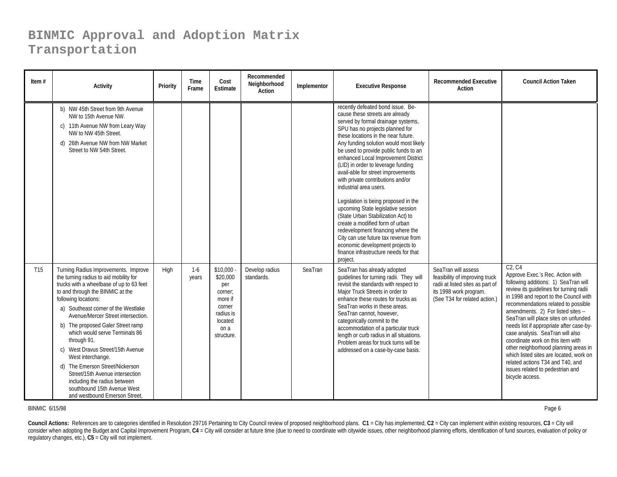| Item $#$        | <b>Activity</b>                                                                                                                                                                                                                                                                                                                                                                                                                                                                                                                                                                           | Priority | <b>Time</b><br>Frame | Cost<br>Estimate                                                                                          | Recommended<br>Neighborhood<br>Action | Implementor | <b>Executive Response</b>                                                                                                                                                                                                                                                                                                                                                                                                                                                                                                                                                                                                                                                                                                                                                              | <b>Recommended Executive</b><br><b>Action</b>                                                                                                        | <b>Council Action Taken</b>                                                                                                                                                                                                                                                                                                                                                                                                                                                                                                                                                                          |
|-----------------|-------------------------------------------------------------------------------------------------------------------------------------------------------------------------------------------------------------------------------------------------------------------------------------------------------------------------------------------------------------------------------------------------------------------------------------------------------------------------------------------------------------------------------------------------------------------------------------------|----------|----------------------|-----------------------------------------------------------------------------------------------------------|---------------------------------------|-------------|----------------------------------------------------------------------------------------------------------------------------------------------------------------------------------------------------------------------------------------------------------------------------------------------------------------------------------------------------------------------------------------------------------------------------------------------------------------------------------------------------------------------------------------------------------------------------------------------------------------------------------------------------------------------------------------------------------------------------------------------------------------------------------------|------------------------------------------------------------------------------------------------------------------------------------------------------|------------------------------------------------------------------------------------------------------------------------------------------------------------------------------------------------------------------------------------------------------------------------------------------------------------------------------------------------------------------------------------------------------------------------------------------------------------------------------------------------------------------------------------------------------------------------------------------------------|
|                 | b) NW 45th Street from 9th Avenue<br>NW to 15th Avenue NW.<br>c) 11th Avenue NW from Leary Way<br>NW to NW 45th Street.<br>d) 26th Avenue NW from NW Market<br>Street to NW 54th Street.                                                                                                                                                                                                                                                                                                                                                                                                  |          |                      |                                                                                                           |                                       |             | recently defeated bond issue. Be-<br>cause these streets are already<br>served by formal drainage systems,<br>SPU has no projects planned for<br>these locations in the near future.<br>Any funding solution would most likely<br>be used to provide public funds to an<br>enhanced Local Improvement District<br>(LID) in order to leverage funding<br>avail-able for street improvements<br>with private contributions and/or<br>industrial area users.<br>Legislation is being proposed in the<br>upcoming State legislative session<br>(State Urban Stabilization Act) to<br>create a modified form of urban<br>redevelopment financing where the<br>City can use future tax revenue from<br>economic development projects to<br>finance infrastructure needs for that<br>project. |                                                                                                                                                      |                                                                                                                                                                                                                                                                                                                                                                                                                                                                                                                                                                                                      |
| T <sub>15</sub> | Turning Radius Improvements. Improve<br>the turning radius to aid mobility for<br>trucks with a wheelbase of up to 63 feet<br>to and through the BINMIC at the<br>following locations:<br>a) Southeast corner of the Westlake<br>Avenue/Mercer Street intersection.<br>b) The proposed Galer Street ramp<br>which would serve Terminals 86<br>through 91.<br>c) West Dravus Street/15th Avenue<br>West interchange.<br>d) The Emerson Street/Nickerson<br>Street/15th Avenue intersection<br>including the radius between<br>southbound 15th Avenue West<br>and westbound Emerson Street, | High     | $1-6$<br>years       | \$10,000<br>\$20,000<br>per<br>corner;<br>more if<br>corner<br>radius is<br>located<br>on a<br>structure. | Develop radius<br>standards.          | SeaTran     | SeaTran has already adopted<br>quidelines for turning radii. They will<br>revisit the standards with respect to<br>Major Truck Streets in order to<br>enhance these routes for trucks as<br>SeaTran works in these areas.<br>SeaTran cannot, however,<br>categorically commit to the<br>accommodation of a particular truck<br>length or curb radius in all situations.<br>Problem areas for truck turns will be<br>addressed on a case-by-case basis.                                                                                                                                                                                                                                                                                                                                 | SeaTran will assess<br>feasibility of improving truck<br>radii at listed sites as part of<br>its 1998 work program.<br>(See T34 for related action.) | $C2$ . $C4$<br>Approve Exec.'s Rec. Action with<br>following additions: 1) SeaTran will<br>review its quidelines for turning radii<br>in 1998 and report to the Council with<br>recommendations related to possible<br>amendments. 2) For listed sites --<br>SeaTran will place sites on unfunded<br>needs list if appropriate after case-by-<br>case analysis. SeaTran will also<br>coordinate work on this item with<br>other neighborhood planning areas in<br>which listed sites are located, work on<br>related actions T34 and T40, and<br>issues related to pedestrian and<br>bicycle access. |

BINMIC 6/15/98

Page 6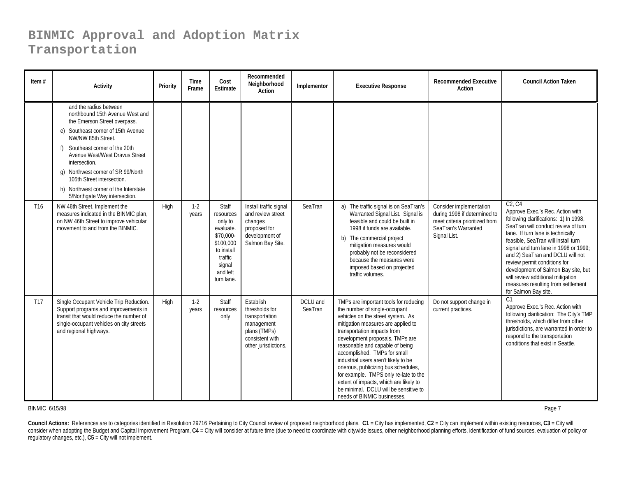| Item $#$        | <b>Activity</b>                                                                                                                                                                                                                                                                                                                                                                        | Priority | Time<br>Frame  | Cost<br><b>Estimate</b>                                                                                                           | Recommended<br>Neighborhood<br>Action                                                                                  | Implementor         | <b>Executive Response</b>                                                                                                                                                                                                                                                                                                                                                                                                                                                                                                        | <b>Recommended Executive</b><br>Action                                                                                           | <b>Council Action Taken</b>                                                                                                                                                                                                                                                                                                                                                                                                                                                            |
|-----------------|----------------------------------------------------------------------------------------------------------------------------------------------------------------------------------------------------------------------------------------------------------------------------------------------------------------------------------------------------------------------------------------|----------|----------------|-----------------------------------------------------------------------------------------------------------------------------------|------------------------------------------------------------------------------------------------------------------------|---------------------|----------------------------------------------------------------------------------------------------------------------------------------------------------------------------------------------------------------------------------------------------------------------------------------------------------------------------------------------------------------------------------------------------------------------------------------------------------------------------------------------------------------------------------|----------------------------------------------------------------------------------------------------------------------------------|----------------------------------------------------------------------------------------------------------------------------------------------------------------------------------------------------------------------------------------------------------------------------------------------------------------------------------------------------------------------------------------------------------------------------------------------------------------------------------------|
|                 | and the radius between<br>northbound 15th Avenue West and<br>the Emerson Street overpass.<br>e) Southeast corner of 15th Avenue<br>NW/NW 85th Street.<br>Southeast corner of the 20th<br>Avenue West/West Dravus Street<br>intersection.<br>g) Northwest corner of SR 99/North<br>105th Street intersection.<br>h) Northwest corner of the Interstate<br>5/Northgate Way intersection. |          |                |                                                                                                                                   |                                                                                                                        |                     |                                                                                                                                                                                                                                                                                                                                                                                                                                                                                                                                  |                                                                                                                                  |                                                                                                                                                                                                                                                                                                                                                                                                                                                                                        |
| T <sub>16</sub> | NW 46th Street. Implement the<br>measures indicated in the BINMIC plan,<br>on NW 46th Street to improve vehicular<br>movement to and from the BINMIC.                                                                                                                                                                                                                                  | High     | $1-2$<br>years | Staff<br>resources<br>only to<br>evaluate.<br>\$70,000-<br>\$100,000<br>to install<br>traffic<br>signal<br>and left<br>turn lane. | Install traffic signal<br>and review street<br>changes<br>proposed for<br>development of<br>Salmon Bay Site.           | SeaTran             | a) The traffic signal is on SeaTran's<br>Warranted Signal List. Signal is<br>feasible and could be built in<br>1998 if funds are available.<br>b) The commercial project<br>mitigation measures would<br>probably not be reconsidered<br>because the measures were<br>imposed based on projected<br>traffic volumes.                                                                                                                                                                                                             | Consider implementation<br>during 1998 if determined to<br>meet criteria prioritized from<br>SeaTran's Warranted<br>Signal List. | C <sub>2</sub> . C <sub>4</sub><br>Approve Exec.'s Rec. Action with<br>following clarifications: 1) In 1998,<br>SeaTran will conduct review of turn<br>lane. If turn lane is technically<br>feasible, SeaTran will install turn<br>signal and turn lane in 1998 or 1999;<br>and 2) SeaTran and DCLU will not<br>review permit conditions for<br>development of Salmon Bay site, but<br>will review additional mitigation<br>measures resulting from settlement<br>for Salmon Bay site. |
| T <sub>17</sub> | Single Occupant Vehicle Trip Reduction.<br>Support programs and improvements in<br>transit that would reduce the number of<br>single-occupant vehicles on city streets<br>and regional highways.                                                                                                                                                                                       | High     | $1-2$<br>years | Staff<br>resources<br>only                                                                                                        | Establish<br>thresholds for<br>transportation<br>management<br>plans (TMPs)<br>consistent with<br>other jurisdictions. | DCLU and<br>SeaTran | TMPs are important tools for reducing<br>the number of single-occupant<br>vehicles on the street system. As<br>mitigation measures are applied to<br>transportation impacts from<br>development proposals, TMPs are<br>reasonable and capable of being<br>accomplished. TMPs for small<br>industrial users aren't likely to be<br>onerous, publicizing bus schedules,<br>for example. TMPS only re-late to the<br>extent of impacts, which are likely to<br>be minimal. DCLU will be sensitive to<br>needs of BINMIC businesses. | Do not support change in<br>current practices.                                                                                   | C1<br>Approve Exec.'s Rec. Action with<br>following clarification: The City's TMP<br>thresholds, which differ from other<br>jurisdictions, are warranted in order to<br>respond to the transportation<br>conditions that exist in Seattle.                                                                                                                                                                                                                                             |

#### BINMIC 6/15/98

Page 7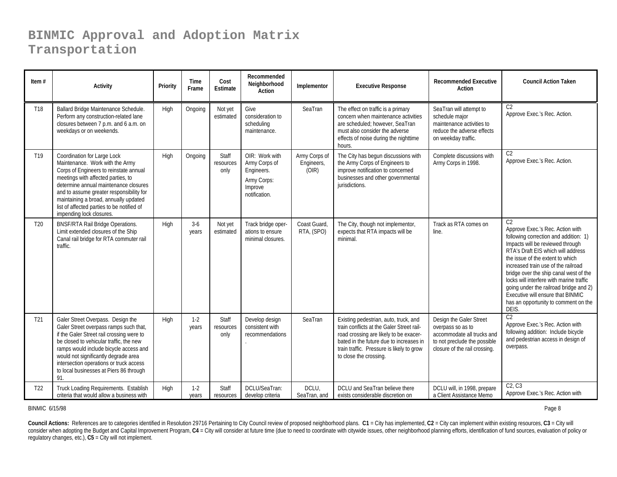| Item $#$        | <b>Activity</b>                                                                                                                                                                                                                                                                                                                                        | Priority | Time<br>Frame    | Cost<br>Estimate           | Recommended<br>Neighborhood<br><b>Action</b>                                             | Implementor                          | <b>Executive Response</b>                                                                                                                                                                                                                      | <b>Recommended Executive</b><br>Action                                                                                                      | <b>Council Action Taken</b>                                                                                                                                                                                                                                                                                                                                                                                                                                            |
|-----------------|--------------------------------------------------------------------------------------------------------------------------------------------------------------------------------------------------------------------------------------------------------------------------------------------------------------------------------------------------------|----------|------------------|----------------------------|------------------------------------------------------------------------------------------|--------------------------------------|------------------------------------------------------------------------------------------------------------------------------------------------------------------------------------------------------------------------------------------------|---------------------------------------------------------------------------------------------------------------------------------------------|------------------------------------------------------------------------------------------------------------------------------------------------------------------------------------------------------------------------------------------------------------------------------------------------------------------------------------------------------------------------------------------------------------------------------------------------------------------------|
| T18             | Ballard Bridge Maintenance Schedule.<br>Perform any construction-related lane<br>closures between 7 p.m. and 6 a.m. on<br>weekdays or on weekends.                                                                                                                                                                                                     | High     | Ongoing          | Not yet<br>estimated       | Give<br>consideration to<br>scheduling<br>maintenance.                                   | SeaTran                              | The effect on traffic is a primary<br>concern when maintenance activities<br>are scheduled: however, SeaTran<br>must also consider the adverse<br>effects of noise during the nighttime<br>hours.                                              | SeaTran will attempt to<br>schedule major<br>maintenance activities to<br>reduce the adverse effects<br>on weekday traffic.                 | C <sub>2</sub><br>Approve Exec.'s Rec. Action.                                                                                                                                                                                                                                                                                                                                                                                                                         |
| T <sub>19</sub> | Coordination for Large Lock<br>Maintenance. Work with the Army<br>Corps of Engineers to reinstate annual<br>meetings with affected parties, to<br>determine annual maintenance closures<br>and to assume greater responsibility for<br>maintaining a broad, annually updated<br>list of affected parties to be notified of<br>impending lock closures. | High     | Ongoing          | Staff<br>resources<br>only | OIR: Work with<br>Army Corps of<br>Engineers.<br>Army Corps:<br>Improve<br>notification. | Army Corps of<br>Engineers,<br>(OIR) | The City has begun discussions with<br>the Army Corps of Engineers to<br>improve notification to concerned<br>businesses and other governmental<br>jurisdictions.                                                                              | Complete discussions with<br>Army Corps in 1998.                                                                                            | C <sub>2</sub><br>Approve Exec.'s Rec. Action.                                                                                                                                                                                                                                                                                                                                                                                                                         |
| T <sub>20</sub> | <b>BNSF/RTA Rail Bridge Operations.</b><br>Limit extended closures of the Ship<br>Canal rail bridge for RTA commuter rail<br>traffic.                                                                                                                                                                                                                  | High     | $3-6$<br>years   | Not yet<br>estimated       | Track bridge oper-<br>ations to ensure<br>minimal closures.                              | Coast Guard,<br>RTA, (SPO)           | The City, though not implementor,<br>expects that RTA impacts will be<br>minimal.                                                                                                                                                              | Track as RTA comes on<br>line.                                                                                                              | C <sub>2</sub><br>Approve Exec.'s Rec. Action with<br>following correction and addition: 1)<br>Impacts will be reviewed through<br>RTA's Draft EIS which will address<br>the issue of the extent to which<br>increased train use of the railroad<br>bridge over the ship canal west of the<br>locks will interfere with marine traffic<br>going under the railroad bridge and 2)<br>Executive will ensure that BINMIC<br>has an opportunity to comment on the<br>DEIS. |
| T <sub>21</sub> | Galer Street Overpass. Design the<br>Galer Street overpass ramps such that,<br>if the Galer Street rail crossing were to<br>be closed to vehicular traffic, the new<br>ramps would include bicycle access and<br>would not significantly degrade area<br>intersection operations or truck access<br>to local businesses at Piers 86 through<br>91.     | High     | $1 - 2$<br>years | Staff<br>resources<br>only | Develop design<br>consistent with<br>recommendations                                     | SeaTran                              | Existing pedestrian, auto, truck, and<br>train conflicts at the Galer Street rail-<br>road crossing are likely to be exacer-<br>bated in the future due to increases in<br>train traffic. Pressure is likely to grow<br>to close the crossing. | Design the Galer Street<br>overpass so as to<br>accommodate all trucks and<br>to not preclude the possible<br>closure of the rail crossing. | C <sub>2</sub><br>Approve Exec.'s Rec. Action with<br>following addition: Include bicycle<br>and pedestrian access in design of<br>overpass.                                                                                                                                                                                                                                                                                                                           |
| T <sub>22</sub> | Truck Loading Requirements. Establish<br>criteria that would allow a business with                                                                                                                                                                                                                                                                     | High     | $1-2$<br>years   | Staff<br>resources         | DCLU/SeaTran:<br>develop criteria                                                        | DCLU,<br>SeaTran, and                | DCLU and SeaTran believe there<br>exists considerable discretion on                                                                                                                                                                            | DCLU will, in 1998, prepare<br>a Client Assistance Memo                                                                                     | C2. C3<br>Approve Exec.'s Rec. Action with                                                                                                                                                                                                                                                                                                                                                                                                                             |

BINMIC 6/15/98

Page 8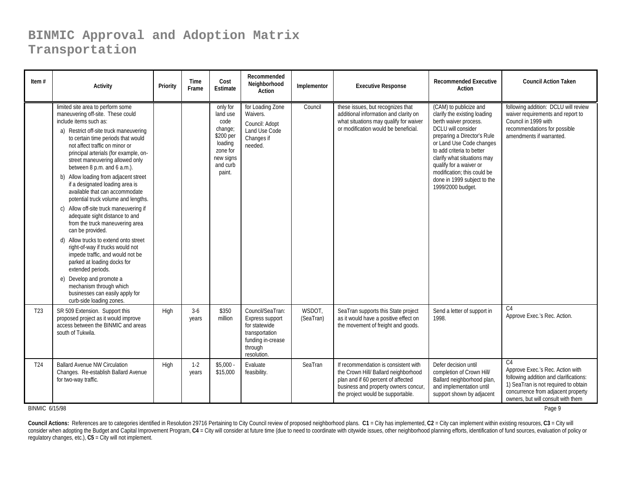| Item $#$        | <b>Activity</b>                                                                                                                                                                                                                                                                                                                                                                                                                                                                                                                                                                                                                                                                                                                                                                                                                                                                                                  | Priority | <b>Time</b><br>Frame | Cost<br><b>Estimate</b>                                                                                        | Recommended<br>Neighborhood<br>Action                                                                                 | Implementor         | <b>Executive Response</b>                                                                                                                                                                       | <b>Recommended Executive</b><br>Action                                                                                                                                                                                                                                                                                                     | <b>Council Action Taken</b>                                                                                                                                                                                      |
|-----------------|------------------------------------------------------------------------------------------------------------------------------------------------------------------------------------------------------------------------------------------------------------------------------------------------------------------------------------------------------------------------------------------------------------------------------------------------------------------------------------------------------------------------------------------------------------------------------------------------------------------------------------------------------------------------------------------------------------------------------------------------------------------------------------------------------------------------------------------------------------------------------------------------------------------|----------|----------------------|----------------------------------------------------------------------------------------------------------------|-----------------------------------------------------------------------------------------------------------------------|---------------------|-------------------------------------------------------------------------------------------------------------------------------------------------------------------------------------------------|--------------------------------------------------------------------------------------------------------------------------------------------------------------------------------------------------------------------------------------------------------------------------------------------------------------------------------------------|------------------------------------------------------------------------------------------------------------------------------------------------------------------------------------------------------------------|
|                 | limited site area to perform some<br>maneuvering off-site. These could<br>include items such as:<br>a) Restrict off-site truck maneuvering<br>to certain time periods that would<br>not affect traffic on minor or<br>principal arterials (for example, on-<br>street maneuvering allowed only<br>between 8 p.m. and 6 a.m.).<br>b) Allow loading from adjacent street<br>if a designated loading area is<br>available that can accommodate<br>potential truck volume and lengths.<br>c) Allow off-site truck maneuvering if<br>adequate sight distance to and<br>from the truck maneuvering area<br>can be provided.<br>d) Allow trucks to extend onto street<br>right-of-way if trucks would not<br>impede traffic, and would not be<br>parked at loading docks for<br>extended periods.<br>e) Develop and promote a<br>mechanism through which<br>businesses can easily apply for<br>curb-side loading zones. |          |                      | only for<br>land use<br>code<br>change;<br>\$200 per<br>loading<br>zone for<br>new signs<br>and curb<br>paint. | for Loading Zone<br>Waivers.<br>Council: Adopt<br>Land Use Code<br>Changes if<br>needed.                              | Council             | these issues, but recognizes that<br>additional information and clarity on<br>what situations may qualify for waiver<br>or modification would be beneficial.                                    | (CAM) to publicize and<br>clarify the existing loading<br>berth waiver process.<br>DCLU will consider<br>preparing a Director's Rule<br>or Land Use Code changes<br>to add criteria to better<br>clarify what situations may<br>qualify for a waiver or<br>modification; this could be<br>done in 1999 subject to the<br>1999/2000 budget. | following addition: DCLU will review<br>waiver requirements and report to<br>Council in 1999 with<br>recommendations for possible<br>amendments if warranted.                                                    |
| T <sub>23</sub> | SR 509 Extension. Support this<br>proposed project as it would improve<br>access between the BINMIC and areas<br>south of Tukwila.                                                                                                                                                                                                                                                                                                                                                                                                                                                                                                                                                                                                                                                                                                                                                                               | High     | $3-6$<br>years       | \$350<br>million                                                                                               | Council/SeaTran:<br>Express support<br>for statewide<br>transportation<br>funding in-crease<br>through<br>resolution. | WSDOT,<br>(SeaTran) | SeaTran supports this State project<br>as it would have a positive effect on<br>the movement of freight and goods.                                                                              | Send a letter of support in<br>1998.                                                                                                                                                                                                                                                                                                       | C <sub>4</sub><br>Approve Exec.'s Rec. Action.                                                                                                                                                                   |
| T <sub>24</sub> | <b>Ballard Avenue NW Circulation</b><br>Changes. Re-establish Ballard Avenue<br>for two-way traffic.                                                                                                                                                                                                                                                                                                                                                                                                                                                                                                                                                                                                                                                                                                                                                                                                             | High     | $1 - 2$<br>years     | \$5,000<br>\$15,000                                                                                            | Evaluate<br>feasibility.                                                                                              | SeaTran             | If recommendation is consistent with<br>the Crown Hill/ Ballard neighborhood<br>plan and if 60 percent of affected<br>business and property owners concur,<br>the project would be supportable. | Defer decision until<br>completion of Crown Hill/<br>Ballard neighborhood plan,<br>and implementation until<br>support shown by adjacent                                                                                                                                                                                                   | C <sub>4</sub><br>Approve Exec.'s Rec. Action with<br>following addition and clarifications:<br>1) SeaTran is not required to obtain<br>concurrence from adjacent property<br>owners, but will consult with them |

BINMIC 6/15/98

в общество в общество в собстановление в собстановление в собстановление в собстановление в собстановление в с<br>В собстановление в собстановление в собстановление в собстановление в собстановление в собстановление в собста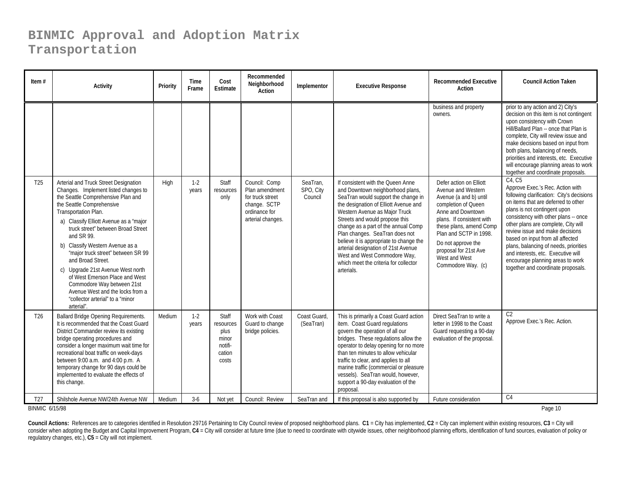| Item $#$              | <b>Activity</b>                                                                                                                                                                                                                                                                                                                                                                                                                                                                                                                                                 | Priority | Time<br>Frame    | Cost<br>Estimate                                                         | Recommended<br>Neighborhood<br>Action                                                                     | Implementor                      | <b>Executive Response</b>                                                                                                                                                                                                                                                                                                                                                                                                                                                  | <b>Recommended Executive</b><br>Action                                                                                                                                                                                                                                                      | <b>Council Action Taken</b>                                                                                                                                                                                                                                                                                                                                                                                                                                                   |
|-----------------------|-----------------------------------------------------------------------------------------------------------------------------------------------------------------------------------------------------------------------------------------------------------------------------------------------------------------------------------------------------------------------------------------------------------------------------------------------------------------------------------------------------------------------------------------------------------------|----------|------------------|--------------------------------------------------------------------------|-----------------------------------------------------------------------------------------------------------|----------------------------------|----------------------------------------------------------------------------------------------------------------------------------------------------------------------------------------------------------------------------------------------------------------------------------------------------------------------------------------------------------------------------------------------------------------------------------------------------------------------------|---------------------------------------------------------------------------------------------------------------------------------------------------------------------------------------------------------------------------------------------------------------------------------------------|-------------------------------------------------------------------------------------------------------------------------------------------------------------------------------------------------------------------------------------------------------------------------------------------------------------------------------------------------------------------------------------------------------------------------------------------------------------------------------|
|                       |                                                                                                                                                                                                                                                                                                                                                                                                                                                                                                                                                                 |          |                  |                                                                          |                                                                                                           |                                  |                                                                                                                                                                                                                                                                                                                                                                                                                                                                            | business and property<br>owners.                                                                                                                                                                                                                                                            | prior to any action and 2) City's<br>decision on this item is not contingent<br>upon consistency with Crown<br>Hill/Ballard Plan -- once that Plan is<br>complete, City will review issue and<br>make decisions based on input from<br>both plans, balancing of needs,<br>priorities and interests, etc. Executive<br>will encourage planning areas to work<br>together and coordinate proposals.                                                                             |
| T <sub>25</sub>       | Arterial and Truck Street Designation<br>Changes. Implement listed changes to<br>the Seattle Comprehensive Plan and<br>the Seattle Comprehensive<br>Transportation Plan.<br>a) Classify Elliott Avenue as a "major<br>truck street" between Broad Street<br>and SR 99.<br>b) Classify Western Avenue as a<br>"major truck street" between SR 99<br>and Broad Street.<br>c) Upgrade 21st Avenue West north<br>of West Emerson Place and West<br>Commodore Way between 21st<br>Avenue West and the locks from a<br>"collector arterial" to a "minor<br>arterial". | High     | $1 - 2$<br>years | <b>Staff</b><br>resources<br>only                                        | Council: Comp<br>Plan amendment<br>for truck street<br>change. SCTP<br>ordinance for<br>arterial changes. | SeaTran,<br>SPO, City<br>Council | If consistent with the Queen Anne<br>and Downtown neighborhood plans,<br>SeaTran would support the change in<br>the designation of Elliott Avenue and<br>Western Avenue as Major Truck<br>Streets and would propose this<br>change as a part of the annual Comp<br>Plan changes. SeaTran does not<br>believe it is appropriate to change the<br>arterial designation of 21st Avenue<br>West and West Commodore Way,<br>which meet the criteria for collector<br>arterials. | Defer action on Elliott<br>Avenue and Western<br>Avenue (a and b) until<br>completion of Queen<br>Anne and Downtown<br>plans. If consistent with<br>these plans, amend Comp<br>Plan and SCTP in 1998.<br>Do not approve the<br>proposal for 21st Ave<br>West and West<br>Commodore Way. (c) | C4. C5<br>Approve Exec.'s Rec. Action with<br>following clarification: City's decisions<br>on items that are deferred to other<br>plans is not contingent upon<br>consistency with other plans -- once<br>other plans are complete, City will<br>review issue and make decisions<br>based on input from all affected<br>plans, balancing of needs, priorities<br>and interests, etc. Executive will<br>encourage planning areas to work<br>together and coordinate proposals. |
| T <sub>26</sub>       | Ballard Bridge Opening Requirements.<br>It is recommended that the Coast Guard<br>District Commander review its existing<br>bridge operating procedures and<br>consider a longer maximum wait time for<br>recreational boat traffic on week-days<br>between 9:00 a.m. and 4:00 p.m. A<br>temporary change for 90 days could be<br>implemented to evaluate the effects of<br>this change.                                                                                                                                                                        | Medium   | $1-2$<br>years   | <b>Staff</b><br>resources<br>plus<br>minor<br>notifi-<br>cation<br>costs | Work with Coast<br>Guard to change<br>bridge policies.                                                    | Coast Guard,<br>(SeaTran)        | This is primarily a Coast Guard action<br>item. Coast Guard regulations<br>govern the operation of all our<br>bridges. These regulations allow the<br>operator to delay opening for no more<br>than ten minutes to allow vehicular<br>traffic to clear, and applies to all<br>marine traffic (commercial or pleasure<br>vessels). SeaTran would, however,<br>support a 90-day evaluation of the<br>proposal.                                                               | Direct SeaTran to write a<br>letter in 1998 to the Coast<br>Guard requesting a 90-day<br>evaluation of the proposal.                                                                                                                                                                        | C <sub>2</sub><br>Approve Exec.'s Rec. Action.                                                                                                                                                                                                                                                                                                                                                                                                                                |
| T <sub>27</sub>       | Shilshole Avenue NW/24th Avenue NW                                                                                                                                                                                                                                                                                                                                                                                                                                                                                                                              | Medium   | $3-6$            | Not yet                                                                  | Council: Review                                                                                           | SeaTran and                      | If this proposal is also supported by                                                                                                                                                                                                                                                                                                                                                                                                                                      | Future consideration                                                                                                                                                                                                                                                                        | C <sub>4</sub>                                                                                                                                                                                                                                                                                                                                                                                                                                                                |
| <b>BINMIC 6/15/98</b> |                                                                                                                                                                                                                                                                                                                                                                                                                                                                                                                                                                 |          |                  |                                                                          |                                                                                                           |                                  |                                                                                                                                                                                                                                                                                                                                                                                                                                                                            |                                                                                                                                                                                                                                                                                             | Page 10                                                                                                                                                                                                                                                                                                                                                                                                                                                                       |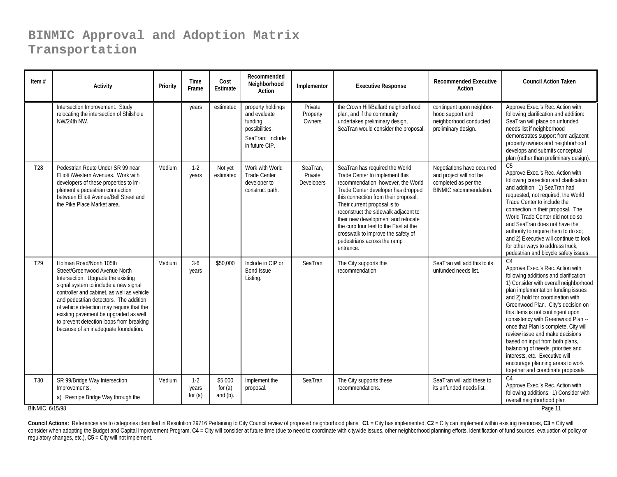| Item $#$                     | <b>Activity</b>                                                                                                                                                                                                                                                                                                                                                                                           | Priority | <b>Time</b><br>Frame          | Cost<br>Estimate                 | Recommended<br>Neighborhood<br>Action                                                                | Implementor                       | <b>Executive Response</b>                                                                                                                                                                                                                                                                                                                                                                                                     | <b>Recommended Executive</b><br>Action                                                                  | <b>Council Action Taken</b>                                                                                                                                                                                                                                                                                                                                                                                                                                                                                                                                                                        |
|------------------------------|-----------------------------------------------------------------------------------------------------------------------------------------------------------------------------------------------------------------------------------------------------------------------------------------------------------------------------------------------------------------------------------------------------------|----------|-------------------------------|----------------------------------|------------------------------------------------------------------------------------------------------|-----------------------------------|-------------------------------------------------------------------------------------------------------------------------------------------------------------------------------------------------------------------------------------------------------------------------------------------------------------------------------------------------------------------------------------------------------------------------------|---------------------------------------------------------------------------------------------------------|----------------------------------------------------------------------------------------------------------------------------------------------------------------------------------------------------------------------------------------------------------------------------------------------------------------------------------------------------------------------------------------------------------------------------------------------------------------------------------------------------------------------------------------------------------------------------------------------------|
|                              | Intersection Improvement. Study<br>relocating the intersection of Shilshole<br>NW/24th NW.                                                                                                                                                                                                                                                                                                                |          | years                         | estimated                        | property holdings<br>and evaluate<br>funding<br>possibilities.<br>SeaTran: Include<br>in future CIP. | Private<br>Property<br>Owners     | the Crown Hill/Ballard neighborhood<br>plan, and if the community<br>undertakes preliminary design,<br>SeaTran would consider the proposal                                                                                                                                                                                                                                                                                    | contingent upon neighbor-<br>hood support and<br>neighborhood conducted<br>preliminary design.          | Approve Exec.'s Rec. Action with<br>following clarification and addition:<br>SeaTran will place on unfunded<br>needs list if neighborhood<br>demonstrates support from adjacent<br>property owners and neighborhood<br>develops and submits conceptual<br>plan (rather than preliminary design).                                                                                                                                                                                                                                                                                                   |
| T <sub>28</sub>              | Pedestrian Route Under SR 99 near<br>Elliott /Western Avenues. Work with<br>developers of these properties to im-<br>plement a pedestrian connection<br>between Elliott Avenue/Bell Street and<br>the Pike Place Market area.                                                                                                                                                                             | Medium   | $1-2$<br>years                | Not yet<br>estimated             | Work with World<br><b>Trade Center</b><br>developer to<br>construct path.                            | SeaTran,<br>Private<br>Developers | SeaTran has required the World<br>Trade Center to implement this<br>recommendation, however, the World<br>Trade Center developer has dropped<br>this connection from their proposal.<br>Their current proposal is to<br>reconstruct the sidewalk adjacent to<br>their new development and relocate<br>the curb four feet to the East at the<br>crosswalk to improve the safety of<br>pedestrians across the ramp<br>entrance. | Negotiations have occurred<br>and project will not be<br>completed as per the<br>BINMIC recommendation. | C5<br>Approve Exec.'s Rec. Action with<br>following correction and clarification<br>and addition: 1) SeaTran had<br>requested, not required, the World<br>Trade Center to include the<br>connection in their proposal. The<br>World Trade Center did not do so,<br>and SeaTran does not have the<br>authority to require them to do so;<br>and 2) Executive will continue to look<br>for other ways to address truck,<br>pedestrian and bicycle safety issues.                                                                                                                                     |
| T <sub>29</sub>              | Holman Road/North 105th<br>Street/Greenwood Avenue North<br>Intersection. Upgrade the existing<br>signal system to include a new signal<br>controller and cabinet, as well as vehicle<br>and pedestrian detectors. The addition<br>of vehicle detection may require that the<br>existing pavement be upgraded as well<br>to prevent detection loops from breaking<br>because of an inadequate foundation. | Medium   | $3-6$<br>years                | \$50,000                         | Include in CIP or<br><b>Bond Issue</b><br>Listing.                                                   | SeaTran                           | The City supports this<br>recommendation.                                                                                                                                                                                                                                                                                                                                                                                     | SeaTran will add this to its<br>unfunded needs list.                                                    | C <sub>4</sub><br>Approve Exec.'s Rec. Action with<br>following additions and clarification:<br>1) Consider with overall neighborhood<br>plan implementation funding issues<br>and 2) hold for coordination with<br>Greenwood Plan. City's decision on<br>this items is not contingent upon<br>consistency with Greenwood Plan --<br>once that Plan is complete, City will<br>review issue and make decisions<br>based on input from both plans,<br>balancing of needs, priorities and<br>interests, etc. Executive will<br>encourage planning areas to work<br>together and coordinate proposals. |
| T30<br><b>BINMIC 6/15/98</b> | SR 99/Bridge Way Intersection<br>Improvements.<br>a) Restripe Bridge Way through the                                                                                                                                                                                                                                                                                                                      | Medium   | $1 - 2$<br>years<br>for $(a)$ | \$5,000<br>for $(a)$<br>and (b). | Implement the<br>proposal.                                                                           | SeaTran                           | The City supports these<br>recommendations.                                                                                                                                                                                                                                                                                                                                                                                   | SeaTran will add these to<br>its unfunded needs list.                                                   | C <sub>4</sub><br>Approve Exec.'s Rec. Action with<br>following additions: 1) Consider with<br>overall neighborhood plan<br>Page 11                                                                                                                                                                                                                                                                                                                                                                                                                                                                |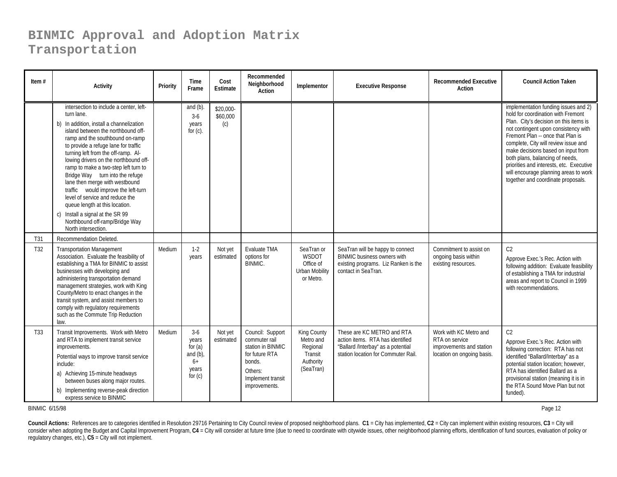| Item $#$        | Activity                                                                                                                                                                                                                                                                                                                                                                                                                                                                                                                                                                                                                 | Priority | Time<br>Frame                                                            | Cost<br>Estimate             | Recommended<br>Neighborhood<br>Action                                                                                               | Implementor                                                               | <b>Executive Response</b>                                                                                                                   | <b>Recommended Executive</b><br>Action                                                             | <b>Council Action Taken</b>                                                                                                                                                                                                                                                                                                                                                                                                                   |
|-----------------|--------------------------------------------------------------------------------------------------------------------------------------------------------------------------------------------------------------------------------------------------------------------------------------------------------------------------------------------------------------------------------------------------------------------------------------------------------------------------------------------------------------------------------------------------------------------------------------------------------------------------|----------|--------------------------------------------------------------------------|------------------------------|-------------------------------------------------------------------------------------------------------------------------------------|---------------------------------------------------------------------------|---------------------------------------------------------------------------------------------------------------------------------------------|----------------------------------------------------------------------------------------------------|-----------------------------------------------------------------------------------------------------------------------------------------------------------------------------------------------------------------------------------------------------------------------------------------------------------------------------------------------------------------------------------------------------------------------------------------------|
|                 | intersection to include a center, left-<br>turn lane.<br>b) In addition, install a channelization<br>island between the northbound off-<br>ramp and the southbound on-ramp<br>to provide a refuge lane for traffic<br>turning left from the off-ramp. Al-<br>lowing drivers on the northbound off-<br>ramp to make a two-step left turn to<br>Bridge Way-turn into the refuge<br>lane then merge with westbound<br>traffic-would improve the left-turn<br>level of service and reduce the<br>queue length at this location.<br>c) Install a signal at the SR 99<br>Northbound off-ramp/Bridge Way<br>North intersection. |          | and $(b)$ .<br>$3-6$<br>years<br>for $(c)$ .                             | \$20,000-<br>\$60,000<br>(c) |                                                                                                                                     |                                                                           |                                                                                                                                             |                                                                                                    | implementation funding issues and 2)<br>hold for coordination with Fremont<br>Plan. City's decision on this items is<br>not contingent upon consistency with<br>Fremont Plan -- once that Plan is<br>complete, City will review issue and<br>make decisions based on input from<br>both plans, balancing of needs,<br>priorities and interests, etc. Executive<br>will encourage planning areas to work<br>together and coordinate proposals. |
| T31             | Recommendation Deleted.                                                                                                                                                                                                                                                                                                                                                                                                                                                                                                                                                                                                  |          |                                                                          |                              |                                                                                                                                     |                                                                           |                                                                                                                                             |                                                                                                    |                                                                                                                                                                                                                                                                                                                                                                                                                                               |
| T32             | <b>Transportation Management</b><br>Association. Evaluate the feasibility of<br>establishing a TMA for BINMIC to assist<br>businesses with developing and<br>administering transportation demand<br>management strategies, work with King<br>County/Metro to enact changes in the<br>transit system, and assist members to<br>comply with regulatory requirements<br>such as the Commute Trip Reduction<br>law.                                                                                                                                                                                                          | Medium   | $1-2$<br>years                                                           | Not yet<br>estimated         | Evaluate TMA<br>options for<br><b>BINMIC.</b>                                                                                       | SeaTran or<br>WSDOT<br>Office of<br><b>Urban Mobility</b><br>or Metro.    | SeaTran will be happy to connect<br><b>BINMIC business owners with</b><br>existing programs. Liz Ranken is the<br>contact in SeaTran.       | Commitment to assist on<br>ongoing basis within<br>existing resources.                             | C <sub>2</sub><br>Approve Exec.'s Rec. Action with<br>following addition: Evaluate feasibility<br>of establishing a TMA for industrial<br>areas and report to Council in 1999<br>with recommendations.                                                                                                                                                                                                                                        |
| T <sub>33</sub> | Transit Improvements. Work with Metro<br>and RTA to implement transit service<br>improvements.<br>Potential ways to improve transit service<br>include:<br>a) Achieving 15-minute headways<br>between buses along major routes.<br>b) Implementing reverse-peak direction<br>express service to BINMIC                                                                                                                                                                                                                                                                                                                   | Medium   | $3-6$<br>years<br>for $(a)$<br>and $(b)$ ,<br>$6+$<br>years<br>for $(c)$ | Not yet<br>estimated         | Council: Support<br>commuter rail<br>station in BINMIC<br>for future RTA<br>bonds.<br>Others:<br>Implement transit<br>improvements. | King County<br>Metro and<br>Regional<br>Transit<br>Authority<br>(SeaTran) | These are KC METRO and RTA<br>action items. RTA has identified<br>"Ballard /Interbay" as a potential<br>station location for Commuter Rail. | Work with KC Metro and<br>RTA on service<br>improvements and station<br>location on ongoing basis. | C <sub>2</sub><br>Approve Exec.'s Rec. Action with<br>following correction: RTA has not<br>identified "Ballard/Interbay" as a<br>potential station location; however,<br>RTA has identified Ballard as a<br>provisional station (meaning it is in<br>the RTA Sound Move Plan but not<br>funded).                                                                                                                                              |

BINMIC 6/15/98

Page 12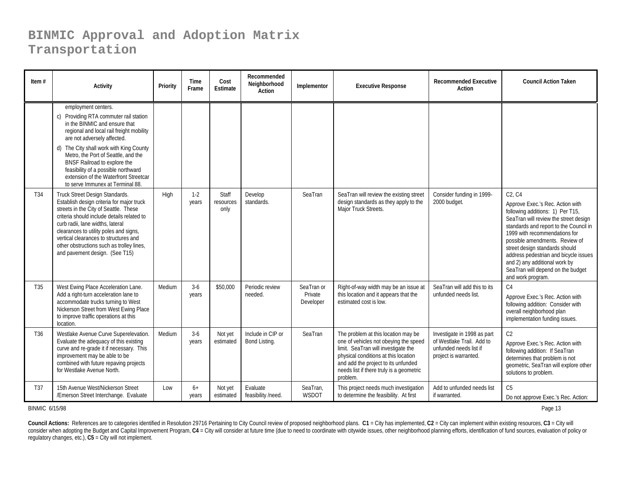| Item $#$        | <b>Activity</b>                                                                                                                                                                                                                                                                                                                                                                                                 | Priority | Time<br>Frame    | Cost<br>Estimate           | Recommended<br>Neighborhood<br>Action | Implementor                        | <b>Executive Response</b>                                                                                                                                                                                                                                  | <b>Recommended Executive</b><br>Action                                                                      | <b>Council Action Taken</b>                                                                                                                                                                                                                                                                                                                                                                                |
|-----------------|-----------------------------------------------------------------------------------------------------------------------------------------------------------------------------------------------------------------------------------------------------------------------------------------------------------------------------------------------------------------------------------------------------------------|----------|------------------|----------------------------|---------------------------------------|------------------------------------|------------------------------------------------------------------------------------------------------------------------------------------------------------------------------------------------------------------------------------------------------------|-------------------------------------------------------------------------------------------------------------|------------------------------------------------------------------------------------------------------------------------------------------------------------------------------------------------------------------------------------------------------------------------------------------------------------------------------------------------------------------------------------------------------------|
|                 | employment centers.<br>c) Providing RTA commuter rail station<br>in the BINMIC and ensure that<br>regional and local rail freight mobility<br>are not adversely affected.<br>d) The City shall work with King County<br>Metro, the Port of Seattle, and the<br>BNSF Railroad to explore the<br>feasibility of a possible northward<br>extension of the Waterfront Streetcar<br>to serve Immunex at Terminal 88. |          |                  |                            |                                       |                                    |                                                                                                                                                                                                                                                            |                                                                                                             |                                                                                                                                                                                                                                                                                                                                                                                                            |
| T <sub>34</sub> | Truck Street Design Standards.<br>Establish design criteria for major truck<br>streets in the City of Seattle. These<br>criteria should include details related to<br>curb radii, lane widths, lateral<br>clearances to utility poles and signs,<br>vertical clearances to structures and<br>other obstructions such as trolley lines,<br>and pavement design. (See T15)                                        | High     | $1 - 2$<br>years | Staff<br>resources<br>only | Develop<br>standards.                 | SeaTran                            | SeaTran will review the existing street<br>design standards as they apply to the<br>Major Truck Streets.                                                                                                                                                   | Consider funding in 1999-<br>2000 budget.                                                                   | C2. C4<br>Approve Exec.'s Rec. Action with<br>following additions: 1) Per T15,<br>SeaTran will review the street design<br>standards and report to the Council in<br>1999 with recommendations for<br>possible amendments. Review of<br>street design standards should<br>address pedestrian and bicycle issues<br>and 2) any additional work by<br>SeaTran will depend on the budget<br>and work program. |
| T35             | West Ewing Place Acceleration Lane.<br>Add a right-turn acceleration lane to<br>accommodate trucks turning to West<br>Nickerson Street from West Ewing Place<br>to improve traffic operations at this<br>location.                                                                                                                                                                                              | Medium   | $3-6$<br>years   | \$50,000                   | Periodic review<br>needed.            | SeaTran or<br>Private<br>Developer | Right-of-way width may be an issue at<br>this location and it appears that the<br>estimated cost is low.                                                                                                                                                   | SeaTran will add this to its<br>unfunded needs list.                                                        | C <sub>4</sub><br>Approve Exec.'s Rec. Action with<br>following addition: Consider with<br>overall neighborhood plan<br>implementation funding issues.                                                                                                                                                                                                                                                     |
| T <sub>36</sub> | Westlake Avenue Curve Superelevation.<br>Evaluate the adequacy of this existing<br>curve and re-grade it if necessary. This<br>improvement may be able to be<br>combined with future repaving projects<br>for Westlake Avenue North.                                                                                                                                                                            | Medium   | $3-6$<br>years   | Not yet<br>estimated       | Include in CIP or<br>Bond Listing.    | SeaTran                            | The problem at this location may be<br>one of vehicles not obeying the speed<br>limit. SeaTran will investigate the<br>physical conditions at this location<br>and add the project to its unfunded<br>needs list if there truly is a geometric<br>problem. | Investigate in 1998 as part<br>of Westlake Trail. Add to<br>unfunded needs list if<br>project is warranted. | C <sub>2</sub><br>Approve Exec.'s Rec. Action with<br>following addition: If SeaTran<br>determines that problem is not<br>geometric, SeaTran will explore other<br>solutions to problem.                                                                                                                                                                                                                   |
| T <sub>37</sub> | 15th Avenue West/Nickerson Street<br>/Emerson Street Interchange. Evaluate                                                                                                                                                                                                                                                                                                                                      | Low      | $6+$<br>years    | Not yet<br>estimated       | Evaluate<br>feasibility /need.        | SeaTran,<br>WSDOT                  | This project needs much investigation<br>to determine the feasibility. At first                                                                                                                                                                            | Add to unfunded needs list<br>if warranted.                                                                 | C <sub>5</sub><br>Do not approve Exec.'s Rec. Action:                                                                                                                                                                                                                                                                                                                                                      |

BINMIC 6/15/98

Page 13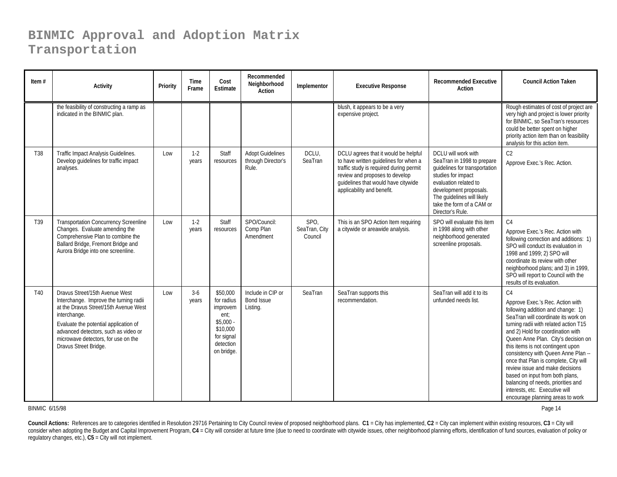| Item $#$ | Activity                                                                                                                                                                                                                                                                           | Priority | <b>Time</b><br>Frame | Cost<br>Estimate                                                                                              | Recommended<br>Neighborhood<br>Action                  | Implementor                      | <b>Executive Response</b>                                                                                                                                                                                                       | <b>Recommended Executive</b><br>Action                                                                                                                                                                                                     | <b>Council Action Taken</b>                                                                                                                                                                                                                                                                                                                                                                                                                                                                                                                                |
|----------|------------------------------------------------------------------------------------------------------------------------------------------------------------------------------------------------------------------------------------------------------------------------------------|----------|----------------------|---------------------------------------------------------------------------------------------------------------|--------------------------------------------------------|----------------------------------|---------------------------------------------------------------------------------------------------------------------------------------------------------------------------------------------------------------------------------|--------------------------------------------------------------------------------------------------------------------------------------------------------------------------------------------------------------------------------------------|------------------------------------------------------------------------------------------------------------------------------------------------------------------------------------------------------------------------------------------------------------------------------------------------------------------------------------------------------------------------------------------------------------------------------------------------------------------------------------------------------------------------------------------------------------|
|          | the feasibility of constructing a ramp as<br>indicated in the BINMIC plan.                                                                                                                                                                                                         |          |                      |                                                                                                               |                                                        |                                  | blush, it appears to be a very<br>expensive project.                                                                                                                                                                            |                                                                                                                                                                                                                                            | Rough estimates of cost of project are<br>very high and project is lower priority<br>for BINMIC, so SeaTran's resources<br>could be better spent on higher<br>priority action item than on feasibility<br>analysis for this action item.                                                                                                                                                                                                                                                                                                                   |
| T38      | Traffic Impact Analysis Guidelines.<br>Develop quidelines for traffic impact<br>analyses.                                                                                                                                                                                          | Low      | $1 - 2$<br>years     | Staff<br>resources                                                                                            | <b>Adopt Guidelines</b><br>through Director's<br>Rule. | DCLU,<br>SeaTran                 | DCLU agrees that it would be helpful<br>to have written guidelines for when a<br>traffic study is required during permit<br>review and proposes to develop<br>quidelines that would have citywide<br>applicability and benefit. | DCLU will work with<br>SeaTran in 1998 to prepare<br>guidelines for transportation<br>studies for impact<br>evaluation related to<br>development proposals.<br>The guidelines will likely<br>take the form of a CAM or<br>Director's Rule. | C <sub>2</sub><br>Approve Exec.'s Rec. Action.                                                                                                                                                                                                                                                                                                                                                                                                                                                                                                             |
| T39      | <b>Transportation Concurrency Screenline</b><br>Changes. Evaluate amending the<br>Comprehensive Plan to combine the<br>Ballard Bridge, Fremont Bridge and<br>Aurora Bridge into one screenline.                                                                                    | Low      | $1-2$<br>years       | Staff<br>resources                                                                                            | SPO/Council:<br>Comp Plan<br>Amendment                 | SPO,<br>SeaTran, City<br>Council | This is an SPO Action Item requiring<br>a citywide or areawide analysis.                                                                                                                                                        | SPO will evaluate this item<br>in 1998 along with other<br>neighborhood generated<br>screenline proposals.                                                                                                                                 | C <sub>4</sub><br>Approve Exec.'s Rec. Action with<br>following correction and additions: 1)<br>SPO will conduct its evaluation in<br>1998 and 1999; 2) SPO will<br>coordinate its review with other<br>neighborhood plans; and 3) in 1999,<br>SPO will report to Council with the<br>results of its evaluation.                                                                                                                                                                                                                                           |
| T40      | Dravus Street/15th Avenue West<br>Interchange. Improve the turning radii<br>at the Dravus Street/15th Avenue West<br>interchange.<br>Evaluate the potential application of<br>advanced detectors, such as video or<br>microwave detectors, for use on the<br>Dravus Street Bridge. | Low      | $3-6$<br>years       | \$50,000<br>for radius<br>improvem<br>ent;<br>$$5.000 -$<br>\$10,000<br>for signal<br>detection<br>on bridge. | Include in CIP or<br><b>Bond Issue</b><br>Listing.     | SeaTran                          | SeaTran supports this<br>recommendation.                                                                                                                                                                                        | SeaTran will add it to its<br>unfunded needs list.                                                                                                                                                                                         | C <sub>4</sub><br>Approve Exec.'s Rec. Action with<br>following addition and change: 1)<br>SeaTran will coordinate its work on<br>turning radii with related action T15<br>and 2) Hold for coordination with<br>Queen Anne Plan. City's decision on<br>this items is not contingent upon<br>consistency with Queen Anne Plan --<br>once that Plan is complete, City will<br>review issue and make decisions<br>based on input from both plans,<br>balancing of needs, priorities and<br>interests, etc. Executive will<br>encourage planning areas to work |

#### BINMIC 6/15/98

Page 14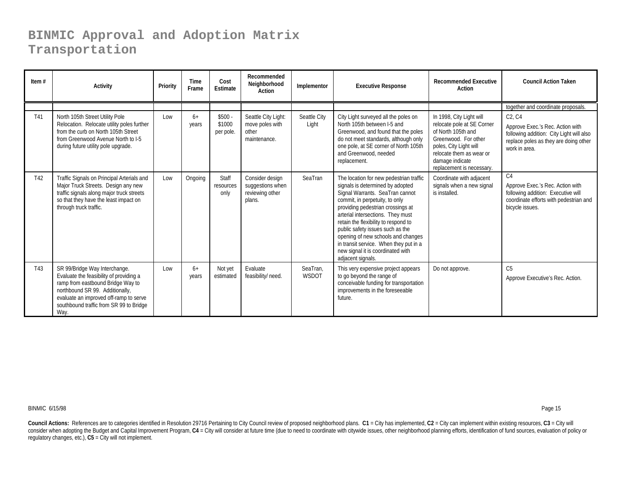| Item $#$ | <b>Activity</b>                                                                                                                                                                                                                               | Priority | <b>Time</b><br>Frame | Cost<br><b>Estimate</b>         | Recommended<br>Neighborhood<br>Action                            | Implementor              | <b>Executive Response</b>                                                                                                                                                                                                                                                                                                                                                                                                                        | <b>Recommended Executive</b><br>Action                                                                                                                                                                     | <b>Council Action Taken</b>                                                                                                                                                            |
|----------|-----------------------------------------------------------------------------------------------------------------------------------------------------------------------------------------------------------------------------------------------|----------|----------------------|---------------------------------|------------------------------------------------------------------|--------------------------|--------------------------------------------------------------------------------------------------------------------------------------------------------------------------------------------------------------------------------------------------------------------------------------------------------------------------------------------------------------------------------------------------------------------------------------------------|------------------------------------------------------------------------------------------------------------------------------------------------------------------------------------------------------------|----------------------------------------------------------------------------------------------------------------------------------------------------------------------------------------|
| T41      | North 105th Street Utility Pole<br>Relocation. Relocate utility poles further<br>from the curb on North 105th Street<br>from Greenwood Avenue North to I-5<br>during future utility pole upgrade.                                             | Low      | $6+$<br>years        | $$500 -$<br>\$1000<br>per pole. | Seattle City Light:<br>move poles with<br>other<br>maintenance.  | Seattle City<br>Light    | City Light surveyed all the poles on<br>North 105th between I-5 and<br>Greenwood, and found that the poles<br>do not meet standards, although only<br>one pole, at SE corner of North 105th<br>and Greenwood, needed<br>replacement.                                                                                                                                                                                                             | In 1998, City Light will<br>relocate pole at SE Corner<br>of North 105th and<br>Greenwood. For other<br>poles, City Light will<br>relocate them as wear or<br>damage indicate<br>replacement is necessary. | together and coordinate proposals.<br>C2, C4<br>Approve Exec.'s Rec. Action with<br>following addition: City Light will also<br>replace poles as they are doing other<br>work in area. |
| T42      | Traffic Signals on Principal Arterials and<br>Major Truck Streets. Design any new<br>traffic signals along major truck streets<br>so that they have the least impact on<br>through truck traffic.                                             | Low      | Ongoing              | Staff<br>resources<br>only      | Consider design<br>suggestions when<br>reviewing other<br>plans. | SeaTran                  | The location for new pedestrian traffic<br>signals is determined by adopted<br>Signal Warrants. SeaTran cannot<br>commit, in perpetuity, to only<br>providing pedestrian crossings at<br>arterial intersections. They must<br>retain the flexibility to respond to<br>public safety issues such as the<br>opening of new schools and changes<br>in transit service. When they put in a<br>new signal it is coordinated with<br>adjacent signals. | Coordinate with adjacent<br>signals when a new signal<br>is installed.                                                                                                                                     | C <sub>4</sub><br>Approve Exec.'s Rec. Action with<br>following addition: Executive will<br>coordinate efforts with pedestrian and<br>bicycle issues.                                  |
| T43      | SR 99/Bridge Way Interchange.<br>Evaluate the feasibility of providing a<br>ramp from eastbound Bridge Way to<br>northbound SR 99. Additionally,<br>evaluate an improved off-ramp to serve<br>southbound traffic from SR 99 to Bridge<br>Way. | Low      | $6+$<br>years        | Not yet<br>estimated            | Evaluate<br>feasibility/ need.                                   | SeaTran.<br><b>WSDOT</b> | This very expensive project appears<br>to go beyond the range of<br>conceivable funding for transportation<br>improvements in the foreseeable<br>future.                                                                                                                                                                                                                                                                                         | Do not approve.                                                                                                                                                                                            | C <sub>5</sub><br>Approve Executive's Rec. Action.                                                                                                                                     |

BINMIC 6/15/98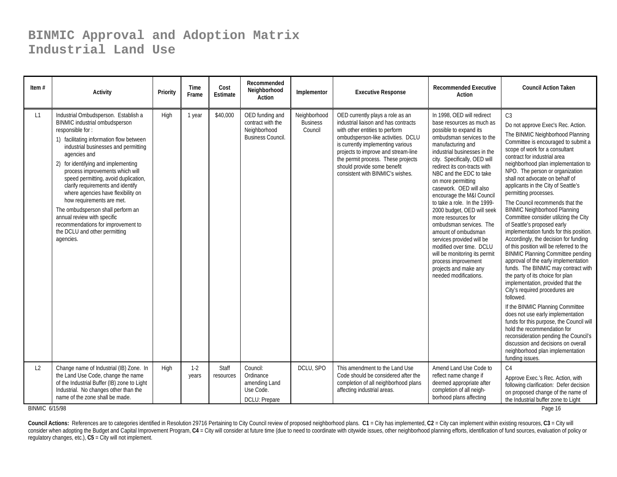#### **BINMIC Approval and Adoption Matrix Industrial Land Use**

| Item $#$       | Activity                                                                                                                                                                                                                                                                                                                                                                                                                                                                                                                                                                         | Priority | Time<br>Frame  | Cost<br>Estimate   | Recommended<br>Neighborhood<br>Action                                            | Implementor                                | <b>Executive Response</b>                                                                                                                                                                                                                                                                                                             | <b>Recommended Executive</b><br>Action                                                                                                                                                                                                                                                                                                                                                                                                                                                                                                                                                                                                                | <b>Council Action Taken</b>                                                                                                                                                                                                                                                                                                                                                                                                                                                                                                                                                                                                                                                                                                                                                                                                                                                                                                                                                                                                                                                                                                                                                                                    |
|----------------|----------------------------------------------------------------------------------------------------------------------------------------------------------------------------------------------------------------------------------------------------------------------------------------------------------------------------------------------------------------------------------------------------------------------------------------------------------------------------------------------------------------------------------------------------------------------------------|----------|----------------|--------------------|----------------------------------------------------------------------------------|--------------------------------------------|---------------------------------------------------------------------------------------------------------------------------------------------------------------------------------------------------------------------------------------------------------------------------------------------------------------------------------------|-------------------------------------------------------------------------------------------------------------------------------------------------------------------------------------------------------------------------------------------------------------------------------------------------------------------------------------------------------------------------------------------------------------------------------------------------------------------------------------------------------------------------------------------------------------------------------------------------------------------------------------------------------|----------------------------------------------------------------------------------------------------------------------------------------------------------------------------------------------------------------------------------------------------------------------------------------------------------------------------------------------------------------------------------------------------------------------------------------------------------------------------------------------------------------------------------------------------------------------------------------------------------------------------------------------------------------------------------------------------------------------------------------------------------------------------------------------------------------------------------------------------------------------------------------------------------------------------------------------------------------------------------------------------------------------------------------------------------------------------------------------------------------------------------------------------------------------------------------------------------------|
| L1             | Industrial Ombudsperson. Establish a<br>BINMIC industrial ombudsperson<br>responsible for:<br>1) facilitating information flow between<br>industrial businesses and permitting<br>agencies and<br>2) for identifying and implementing<br>process improvements which will<br>speed permitting, avoid duplication,<br>clarify requirements and identify<br>where agencies have flexibility on<br>how requirements are met.<br>The ombudsperson shall perform an<br>annual review with specific<br>recommendations for improvement to<br>the DCLU and other permitting<br>agencies. | High     | 1 year         | \$40,000           | OED funding and<br>contract with the<br>Neighborhood<br><b>Business Council.</b> | Neighborhood<br><b>Business</b><br>Council | OED currently plays a role as an<br>industrial liaison and has contracts<br>with other entities to perform<br>ombudsperson-like activities. DCLU<br>is currently implementing various<br>projects to improve and stream-line<br>the permit process. These projects<br>should provide some benefit<br>consistent with BINMIC's wishes. | In 1998, OED will redirect<br>base resources as much as<br>possible to expand its<br>ombudsman services to the<br>manufacturing and<br>industrial businesses in the<br>city. Specifically, OED will<br>redirect its con-tracts with<br>NBC and the EDC to take<br>on more permitting<br>casework. OED will also<br>encourage the M&I Council<br>to take a role. In the 1999-<br>2000 budget, OED will seek<br>more resources for<br>ombudsman services. The<br>amount of ombudsman<br>services provided will be<br>modified over time. DCLU<br>will be monitoring its permit<br>process improvement<br>projects and make any<br>needed modifications. | C <sub>3</sub><br>Do not approve Exec's Rec. Action.<br>The BINMIC Neighborhood Planning<br>Committee is encouraged to submit a<br>scope of work for a consultant<br>contract for industrial area<br>neighborhood plan implementation to<br>NPO. The person or organization<br>shall not advocate on behalf of<br>applicants in the City of Seattle's<br>permitting processes.<br>The Council recommends that the<br><b>BINMIC Neighborhood Planning</b><br>Committee consider utilizing the City<br>of Seattle's proposed early<br>implementation funds for this position.<br>Accordingly, the decision for funding<br>of this position will be referred to the<br><b>BINMIC Planning Committee pending</b><br>approval of the early implementation<br>funds. The BINMIC may contract with<br>the party of its choice for plan<br>implementation, provided that the<br>City's required procedures are<br>followed.<br>If the BINMIC Planning Committee<br>does not use early implementation<br>funds for this purpose, the Council will<br>hold the recommendation for<br>reconsideration pending the Council's<br>discussion and decisions on overall<br>neighborhood plan implementation<br>funding issues. |
| L <sub>2</sub> | Change name of Industrial (IB) Zone. In<br>the Land Use Code, change the name<br>of the Industrial Buffer (IB) zone to Light<br>Industrial. No changes other than the<br>name of the zone shall be made.                                                                                                                                                                                                                                                                                                                                                                         | High     | $1-2$<br>years | Staff<br>resources | Council:<br>Ordinance<br>amending Land<br>Use Code.<br>DCLU: Prepare             | DCLU, SPO                                  | This amendment to the Land Use<br>Code should be considered after the<br>completion of all neighborhood plans<br>affecting industrial areas.                                                                                                                                                                                          | Amend Land Use Code to<br>reflect name change if<br>deemed appropriate after<br>completion of all neigh-<br>borhood plans affecting                                                                                                                                                                                                                                                                                                                                                                                                                                                                                                                   | C <sub>4</sub><br>Approve Exec.'s Rec. Action, with<br>following clarification: Defer decision<br>on proposed change of the name of<br>the Industrial buffer zone to Light                                                                                                                                                                                                                                                                                                                                                                                                                                                                                                                                                                                                                                                                                                                                                                                                                                                                                                                                                                                                                                     |

BINMIC 6/15/98

Page 16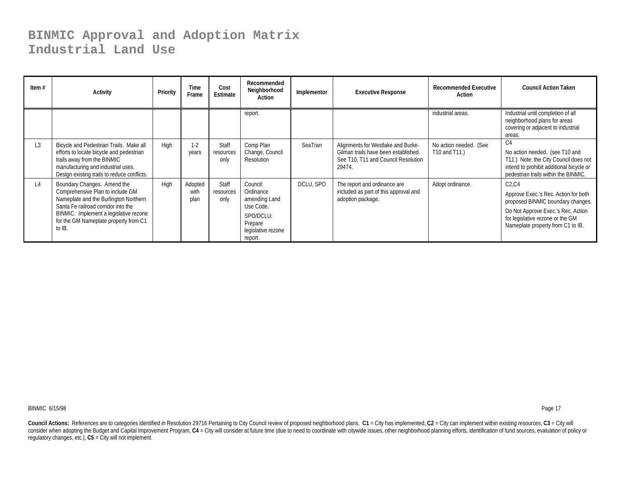#### **BINMIC Approval and Adoption Matrix Industrial Land Use**

| Item $#$       | <b>Activity</b>                                                                                                                                                                                                                              | Priority | Time<br>Frame           | Cost<br>Estimate           | Recommended<br>Neighborhood<br>Action                                                                        | Implementor | <b>Executive Response</b>                                                                                                   | <b>Recommended Executive</b><br>Action  | <b>Council Action Taken</b>                                                                                                                                                                       |
|----------------|----------------------------------------------------------------------------------------------------------------------------------------------------------------------------------------------------------------------------------------------|----------|-------------------------|----------------------------|--------------------------------------------------------------------------------------------------------------|-------------|-----------------------------------------------------------------------------------------------------------------------------|-----------------------------------------|---------------------------------------------------------------------------------------------------------------------------------------------------------------------------------------------------|
|                |                                                                                                                                                                                                                                              |          |                         |                            | report.                                                                                                      |             |                                                                                                                             | industrial areas.                       | Industrial until completion of all<br>neighborhood plans for areas<br>covering or adjacent to industrial<br>areas.                                                                                |
| L <sub>3</sub> | Bicycle and Pedestrian Trails. Make all<br>efforts to locate bicycle and pedestrian<br>trails away from the BINMIC<br>manufacturing and industrial uses.<br>Design existing trails to reduce conflicts.                                      | High     | $1 - 2$<br>years        | Staff<br>resources<br>only | Comp Plan<br>Change, Council<br>Resolution                                                                   | SeaTran     | Alignments for Westlake and Burke-<br>Gilman trails have been established.<br>See T10, T11 and Council Resolution<br>29474. | No action needed. (See<br>T10 and T11.) | C <sub>4</sub><br>No action needed. (see T10 and<br>T11.) Note: the City Council does not<br>intend to prohibit additional bicycle or<br>pedestrian trails within the BINMIC.                     |
| L4             | Boundary Changes. Amend the<br>Comprehensive Plan to include GM<br>Nameplate and the Burlington Northern<br>Santa Fe railroad corridor into the<br>BINMIC. Implement a legislative rezone<br>for the GM Nameplate property from C1<br>to IB. | High     | Adopted<br>with<br>plan | Staff<br>resources<br>only | Council:<br>Ordinance<br>amending Land<br>Use Code.<br>SPO/DCLU:<br>Prepare<br>legislative rezone<br>report. | DCLU, SPO   | The report and ordinance are<br>included as part of this approval and<br>adoption package.                                  | Adopt ordinance.                        | C2.C4<br>Approve Exec.'s Rec. Action for both<br>proposed BINMIC boundary changes.<br>Do Not Approve Exec.'s Rec. Action<br>for legislative rezone or the GM<br>Nameplate property from C1 to IB. |

BINMIC 6/15/98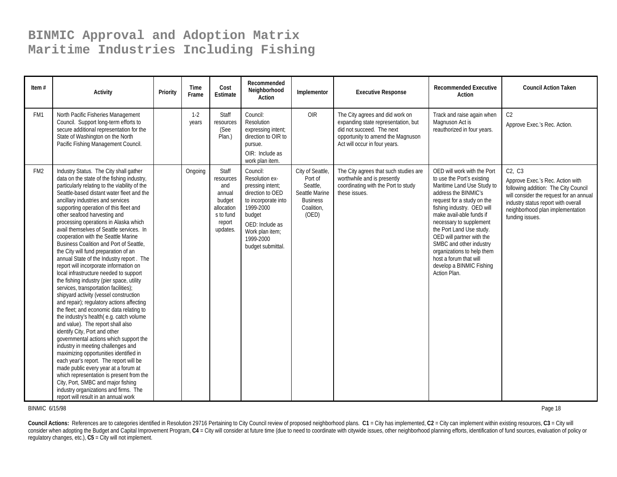| Item $#$        | <b>Activity</b>                                                                                                                                                                                                                                                                                                                                                                                                                                                                                                                                                                                                                                                                                                                                                                                                                                                                                                                                                                                                                                                                                                                                                                                                                                                                                                                                                           | Priority | Time<br>Frame    | Cost<br>Estimate                                                                               | Recommended<br>Neighborhood<br>Action                                                                                                                                                    | Implementor                                                                                         | <b>Executive Response</b>                                                                                                                                                 | <b>Recommended Executive</b><br>Action                                                                                                                                                                                                                                                                                                                                                                                     | <b>Council Action Taken</b>                                                                                                                                                                                                 |
|-----------------|---------------------------------------------------------------------------------------------------------------------------------------------------------------------------------------------------------------------------------------------------------------------------------------------------------------------------------------------------------------------------------------------------------------------------------------------------------------------------------------------------------------------------------------------------------------------------------------------------------------------------------------------------------------------------------------------------------------------------------------------------------------------------------------------------------------------------------------------------------------------------------------------------------------------------------------------------------------------------------------------------------------------------------------------------------------------------------------------------------------------------------------------------------------------------------------------------------------------------------------------------------------------------------------------------------------------------------------------------------------------------|----------|------------------|------------------------------------------------------------------------------------------------|------------------------------------------------------------------------------------------------------------------------------------------------------------------------------------------|-----------------------------------------------------------------------------------------------------|---------------------------------------------------------------------------------------------------------------------------------------------------------------------------|----------------------------------------------------------------------------------------------------------------------------------------------------------------------------------------------------------------------------------------------------------------------------------------------------------------------------------------------------------------------------------------------------------------------------|-----------------------------------------------------------------------------------------------------------------------------------------------------------------------------------------------------------------------------|
| FM1             | North Pacific Fisheries Management<br>Council. Support long-term efforts to<br>secure additional representation for the<br>State of Washington on the North<br>Pacific Fishing Management Council.                                                                                                                                                                                                                                                                                                                                                                                                                                                                                                                                                                                                                                                                                                                                                                                                                                                                                                                                                                                                                                                                                                                                                                        |          | $1 - 2$<br>years | Staff<br>resources<br>(See<br>Plan.)                                                           | Council:<br>Resolution<br>expressing intent:<br>direction to OIR to<br>pursue.<br>OIR: Include as<br>work plan item.                                                                     | OIR                                                                                                 | The City agrees and did work on<br>expanding state representation, but<br>did not succeed. The next<br>opportunity to amend the Magnuson<br>Act will occur in four years. | Track and raise again when<br>Magnuson Act is<br>reauthorized in four years.                                                                                                                                                                                                                                                                                                                                               | C <sub>2</sub><br>Approve Exec.'s Rec. Action.                                                                                                                                                                              |
| FM <sub>2</sub> | Industry Status. The City shall gather<br>data on the state of the fishing industry,<br>particularly relating to the viability of the<br>Seattle-based distant water fleet and the<br>ancillary industries and services<br>supporting operation of this fleet and<br>other seafood harvesting and<br>processing operations in Alaska which<br>avail themselves of Seattle services. In<br>cooperation with the Seattle Marine<br>Business Coalition and Port of Seattle.<br>the City will fund preparation of an<br>annual State of the Industry report. The<br>report will incorporate information on<br>local infrastructure needed to support<br>the fishing industry (pier space, utility<br>services, transportation facilities);<br>shipyard activity (vessel construction<br>and repair); regulatory actions affecting<br>the fleet; and economic data relating to<br>the industry's health(e.g. catch volume<br>and value). The report shall also<br>identify City, Port and other<br>governmental actions which support the<br>industry in meeting challenges and<br>maximizing opportunities identified in<br>each year's report. The report will be<br>made public every year at a forum at<br>which representation is present from the<br>City, Port, SMBC and major fishing<br>industry organizations and firms. The<br>report will result in an annual work |          | Ongoing          | Staff<br>resources<br>and<br>annual<br>budget<br>allocation<br>s to fund<br>report<br>updates. | Council:<br>Resolution ex-<br>pressing intent;<br>direction to OED<br>to incorporate into<br>1999-2000<br>budget<br>OED: Include as<br>Work plan item;<br>1999-2000<br>budget submittal. | City of Seattle,<br>Port of<br>Seattle.<br>Seattle Marine<br><b>Business</b><br>Coalition,<br>(OED) | The City agrees that such studies are<br>worthwhile and is presently<br>coordinating with the Port to study<br>these issues.                                              | OED will work with the Port<br>to use the Port's existing<br>Maritime Land Use Study to<br>address the BINMIC's<br>request for a study on the<br>fishing industry. OED will<br>make avail-able funds if<br>necessary to supplement<br>the Port Land Use study.<br>OED will partner with the<br>SMBC and other industry<br>organizations to help them<br>host a forum that will<br>develop a BINMIC Fishing<br>Action Plan. | C2, C3<br>Approve Exec.'s Rec. Action with<br>following addition: The City Council<br>will consider the request for an annual<br>industry status report with overall<br>neighborhood plan implementation<br>funding issues. |

BINMIC 6/15/98

Page 18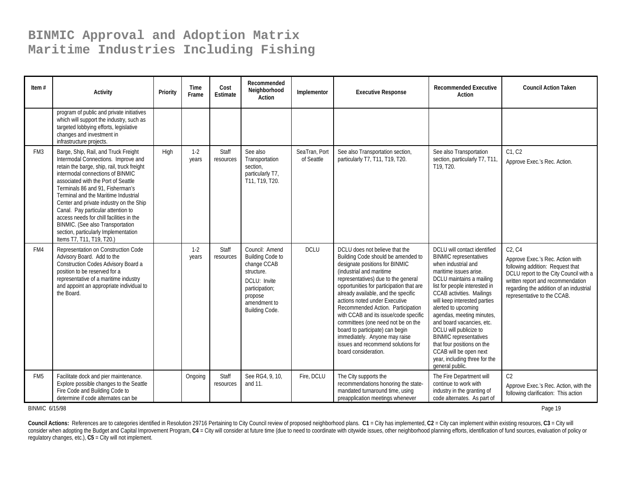| Item $#$        | Activity                                                                                                                                                                                                                                                                                                                                                                                                                                                                                                                | Priority | <b>Time</b><br>Frame | Cost<br>Estimate   | Recommended<br>Neighborhood<br>Action                                                                                                                 | Implementor                 | <b>Executive Response</b>                                                                                                                                                                                                                                                                                                                                                                                                                                                                                                                           | <b>Recommended Executive</b><br>Action                                                                                                                                                                                                                                                                                                                                                                                                                                                           | <b>Council Action Taken</b>                                                                                                                                                                                                             |
|-----------------|-------------------------------------------------------------------------------------------------------------------------------------------------------------------------------------------------------------------------------------------------------------------------------------------------------------------------------------------------------------------------------------------------------------------------------------------------------------------------------------------------------------------------|----------|----------------------|--------------------|-------------------------------------------------------------------------------------------------------------------------------------------------------|-----------------------------|-----------------------------------------------------------------------------------------------------------------------------------------------------------------------------------------------------------------------------------------------------------------------------------------------------------------------------------------------------------------------------------------------------------------------------------------------------------------------------------------------------------------------------------------------------|--------------------------------------------------------------------------------------------------------------------------------------------------------------------------------------------------------------------------------------------------------------------------------------------------------------------------------------------------------------------------------------------------------------------------------------------------------------------------------------------------|-----------------------------------------------------------------------------------------------------------------------------------------------------------------------------------------------------------------------------------------|
|                 | program of public and private initiatives<br>which will support the industry, such as<br>targeted lobbying efforts, legislative<br>changes and investment in<br>infrastructure projects.                                                                                                                                                                                                                                                                                                                                |          |                      |                    |                                                                                                                                                       |                             |                                                                                                                                                                                                                                                                                                                                                                                                                                                                                                                                                     |                                                                                                                                                                                                                                                                                                                                                                                                                                                                                                  |                                                                                                                                                                                                                                         |
| FM <sub>3</sub> | Barge, Ship, Rail, and Truck Freight<br>Intermodal Connections. Improve and<br>retain the barge, ship, rail, truck freight<br>intermodal connections of BINMIC<br>associated with the Port of Seattle<br>Terminals 86 and 91, Fisherman's<br>Terminal and the Maritime Industrial<br>Center and private industry on the Ship<br>Canal. Pay particular attention to<br>access needs for chill facilities in the<br>BINMIC. (See also Transportation<br>section, particularly Implementation<br>Items T7, T11, T19, T20.) | High     | $1-2$<br>years       | Staff<br>resources | See also<br>Transportation<br>section,<br>particularly T7,<br>T11, T19, T20.                                                                          | SeaTran, Port<br>of Seattle | See also Transportation section,<br>particularly T7, T11, T19, T20.                                                                                                                                                                                                                                                                                                                                                                                                                                                                                 | See also Transportation<br>section, particularly T7, T11,<br>T19, T20.                                                                                                                                                                                                                                                                                                                                                                                                                           | C1. C2<br>Approve Exec.'s Rec. Action.                                                                                                                                                                                                  |
| FM4             | Representation on Construction Code<br>Advisory Board. Add to the<br>Construction Codes Advisory Board a<br>position to be reserved for a<br>representative of a maritime industry<br>and appoint an appropriate individual to<br>the Board.                                                                                                                                                                                                                                                                            |          | $1-2$<br>years       | Staff<br>resources | Council: Amend<br><b>Building Code to</b><br>change CCAB<br>structure.<br>DCLU: Invite<br>participation;<br>propose<br>amendment to<br>Building Code. | <b>DCLU</b>                 | DCLU does not believe that the<br>Building Code should be amended to<br>designate positions for BINMIC<br>(industrial and maritime<br>representatives) due to the general<br>opportunities for participation that are<br>already available, and the specific<br>actions noted under Executive<br>Recommended Action. Participation<br>with CCAB and its issue/code specific<br>committees (one need not be on the<br>board to participate) can begin<br>immediately. Anyone may raise<br>issues and recommend solutions for<br>board consideration. | DCLU will contact identified<br><b>BINMIC</b> representatives<br>when industrial and<br>maritime issues arise.<br>DCLU maintains a mailing<br>list for people interested in<br>CCAB activities. Mailings<br>will keep interested parties<br>alerted to upcoming<br>agendas, meeting minutes,<br>and board vacancies, etc.<br>DCLU will publicize to<br><b>BINMIC</b> representatives<br>that four positions on the<br>CCAB will be open next<br>year, including three for the<br>general public. | C2, C4<br>Approve Exec.'s Rec. Action with<br>following addition: Request that<br>DCLU report to the City Council with a<br>written report and recommendation<br>regarding the addition of an industrial<br>representative to the CCAB. |
| FM <sub>5</sub> | Facilitate dock and pier maintenance.<br>Explore possible changes to the Seattle<br>Fire Code and Building Code to<br>determine if code alternates can be                                                                                                                                                                                                                                                                                                                                                               |          | Ongoing              | Staff<br>resources | See RG4, 9, 10,<br>and 11.                                                                                                                            | Fire, DCLU                  | The City supports the<br>recommendations honoring the state-<br>mandated turnaround time, using<br>preapplication meetings whenever                                                                                                                                                                                                                                                                                                                                                                                                                 | The Fire Department will<br>continue to work with<br>industry in the granting of<br>code alternates. As part of                                                                                                                                                                                                                                                                                                                                                                                  | C <sub>2</sub><br>Approve Exec.'s Rec. Action, with the<br>following clarification: This action                                                                                                                                         |

BINMIC 6/15/98

Page 19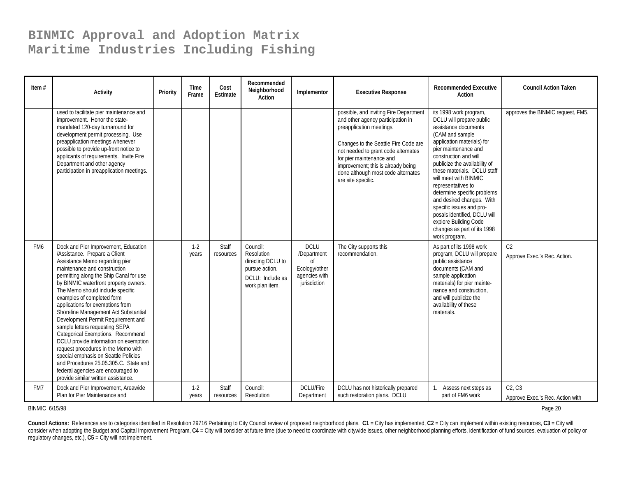| Item $#$        | <b>Activity</b>                                                                                                                                                                                                                                                                                                                                                                                                                                                                                                                                                                                                                                                                                                                      | Priority | Time<br>Frame  | Cost<br>Estimate   | Recommended<br>Neighborhood<br><b>Action</b>                                                         | Implementor                                                                                   | <b>Executive Response</b>                                                                                                                                                                                                                                                                                            | <b>Recommended Executive</b><br>Action                                                                                                                                                                                                                                                                                                                                                                                                                                                       | <b>Council Action Taken</b>                    |
|-----------------|--------------------------------------------------------------------------------------------------------------------------------------------------------------------------------------------------------------------------------------------------------------------------------------------------------------------------------------------------------------------------------------------------------------------------------------------------------------------------------------------------------------------------------------------------------------------------------------------------------------------------------------------------------------------------------------------------------------------------------------|----------|----------------|--------------------|------------------------------------------------------------------------------------------------------|-----------------------------------------------------------------------------------------------|----------------------------------------------------------------------------------------------------------------------------------------------------------------------------------------------------------------------------------------------------------------------------------------------------------------------|----------------------------------------------------------------------------------------------------------------------------------------------------------------------------------------------------------------------------------------------------------------------------------------------------------------------------------------------------------------------------------------------------------------------------------------------------------------------------------------------|------------------------------------------------|
|                 | used to facilitate pier maintenance and<br>improvement. Honor the state-<br>mandated 120-day turnaround for<br>development permit processing. Use<br>preapplication meetings whenever<br>possible to provide up-front notice to<br>applicants of requirements. Invite Fire<br>Department and other agency<br>participation in preapplication meetings.                                                                                                                                                                                                                                                                                                                                                                               |          |                |                    |                                                                                                      |                                                                                               | possible, and inviting Fire Department<br>and other agency participation in<br>preapplication meetings.<br>Changes to the Seattle Fire Code are<br>not needed to grant code alternates<br>for pier maintenance and<br>improvement; this is already being<br>done although most code alternates<br>are site specific. | its 1998 work program,<br>DCLU will prepare public<br>assistance documents<br>(CAM and sample<br>application materials) for<br>pier maintenance and<br>construction and will<br>publicize the availability of<br>these materials. DCLU staff<br>will meet with BINMIC<br>representatives to<br>determine specific problems<br>and desired changes. With<br>specific issues and pro-<br>posals identified, DCLU will<br>explore Building Code<br>changes as part of its 1998<br>work program. | approves the BINMIC request, FM5.              |
| FM <sub>6</sub> | Dock and Pier Improvement, Education<br>/Assistance. Prepare a Client<br>Assistance Memo regarding pier<br>maintenance and construction<br>permitting along the Ship Canal for use<br>by BINMIC waterfront property owners.<br>The Memo should include specific<br>examples of completed form<br>applications for exemptions from<br>Shoreline Management Act Substantial<br>Development Permit Requirement and<br>sample letters requesting SEPA<br>Categorical Exemptions. Recommend<br>DCLU provide information on exemption<br>request procedures in the Memo with<br>special emphasis on Seattle Policies<br>and Procedures 25.05.305.C. State and<br>federal agencies are encouraged to<br>provide similar written assistance. |          | $1-2$<br>years | Staff<br>resources | Council:<br>Resolution<br>directing DCLU to<br>pursue action.<br>DCLU: Include as<br>work plan item. | <b>DCLU</b><br>/Department<br><sub>of</sub><br>Ecology/other<br>agencies with<br>jurisdiction | The City supports this<br>recommendation.                                                                                                                                                                                                                                                                            | As part of its 1998 work<br>program, DCLU will prepare<br>public assistance<br>documents (CAM and<br>sample application<br>materials) for pier mainte-<br>nance and construction,<br>and will publicize the<br>availability of these<br>materials.                                                                                                                                                                                                                                           | C <sub>2</sub><br>Approve Exec.'s Rec. Action. |
| FM7             | Dock and Pier Improvement, Areawide<br>Plan for Pier Maintenance and                                                                                                                                                                                                                                                                                                                                                                                                                                                                                                                                                                                                                                                                 |          | $1-2$<br>years | Staff<br>resources | Council:<br>Resolution                                                                               | <b>DCLU/Fire</b><br>Department                                                                | DCLU has not historically prepared<br>such restoration plans. DCLU                                                                                                                                                                                                                                                   | Assess next steps as<br>part of FM6 work                                                                                                                                                                                                                                                                                                                                                                                                                                                     | C2, C3<br>Approve Exec.'s Rec. Action with     |

BINMIC 6/15/98

entropy of the control of the control of the control of the control of the control of the control of the control of the control of the control of the control of the control of the control of the control of the control of t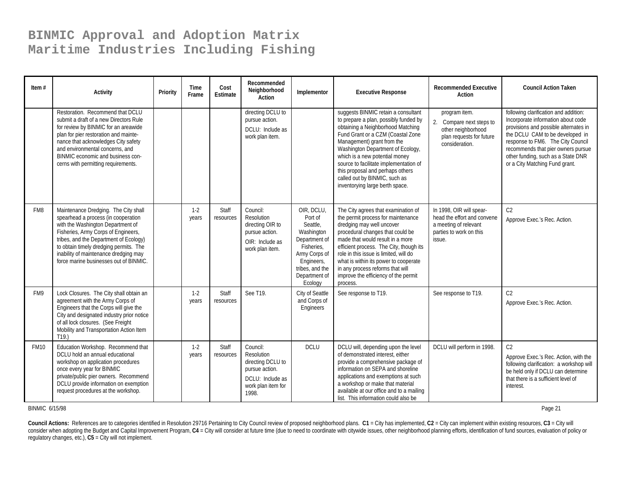| Item $#$    | <b>Activity</b>                                                                                                                                                                                                                                                                                                                | Priority | Time<br>Frame    | Cost<br>Estimate   | Recommended<br>Neighborhood<br>Action                                                                            | Implementor                                                                                                                                                  | <b>Executive Response</b>                                                                                                                                                                                                                                                                                                                                                                                     | <b>Recommended Executive</b><br>Action                                                                                | <b>Council Action Taken</b>                                                                                                                                                                                                                                                                                |
|-------------|--------------------------------------------------------------------------------------------------------------------------------------------------------------------------------------------------------------------------------------------------------------------------------------------------------------------------------|----------|------------------|--------------------|------------------------------------------------------------------------------------------------------------------|--------------------------------------------------------------------------------------------------------------------------------------------------------------|---------------------------------------------------------------------------------------------------------------------------------------------------------------------------------------------------------------------------------------------------------------------------------------------------------------------------------------------------------------------------------------------------------------|-----------------------------------------------------------------------------------------------------------------------|------------------------------------------------------------------------------------------------------------------------------------------------------------------------------------------------------------------------------------------------------------------------------------------------------------|
|             | Restoration. Recommend that DCLU<br>submit a draft of a new Directors Rule<br>for review by BINMIC for an areawide<br>plan for pier restoration and mainte-<br>nance that acknowledges City safety<br>and environmental concerns, and<br>BINMIC economic and business con-<br>cerns with permitting requirements.              |          |                  |                    | directing DCLU to<br>pursue action.<br>DCLU: Include as<br>work plan item.                                       |                                                                                                                                                              | suggests BINMIC retain a consultant<br>to prepare a plan, possibly funded by<br>obtaining a Neighborhood Matching<br>Fund Grant or a CZM (Coastal Zone<br>Management) grant from the<br>Washington Department of Ecology,<br>which is a new potential money<br>source to facilitate implementation of<br>this proposal and perhaps others<br>called out by BINMIC, such as<br>inventorying large berth space. | program item.<br>2. Compare next steps to<br>other neighborhood<br>plan requests for future<br>consideration.         | following clarification and addition:<br>Incorporate information about code<br>provisions and possible alternates in<br>the DCLU CAM to be developed in<br>response to FM6. The City Council<br>recommends that pier owners pursue<br>other funding, such as a State DNR<br>or a City Matching Fund grant. |
| FM8         | Maintenance Dredging. The City shall<br>spearhead a process (in cooperation<br>with the Washington Department of<br>Fisheries, Army Corps of Engineers,<br>tribes, and the Department of Ecology)<br>to obtain timely dredging permits. The<br>inability of maintenance dredging may<br>force marine businesses out of BINMIC. |          | $1-2$<br>years   | Staff<br>resources | Council:<br>Resolution<br>directing OIR to<br>pursue action.<br>OIR: Include as<br>work plan item.               | OIR, DCLU,<br>Port of<br>Seattle,<br>Washington<br>Department of<br>Fisheries,<br>Army Corps of<br>Engineers,<br>tribes, and the<br>Department of<br>Ecology | The City agrees that examination of<br>the permit process for maintenance<br>dredging may well uncover<br>procedural changes that could be<br>made that would result in a more<br>efficient process. The City, though its<br>role in this issue is limited, will do<br>what is within its power to cooperate<br>in any process reforms that will<br>improve the efficiency of the permit<br>process.          | In 1998, OIR will spear-<br>head the effort and convene<br>a meeting of relevant<br>parties to work on this<br>issue. | C <sub>2</sub><br>Approve Exec.'s Rec. Action.                                                                                                                                                                                                                                                             |
| FM9         | Lock Closures. The City shall obtain an<br>agreement with the Army Corps of<br>Engineers that the Corps will give the<br>City and designated industry prior notice<br>of all lock closures. (See Freight<br>Mobility and Transportation Action Item<br>T19.                                                                    |          | $1-2$<br>years   | Staff<br>resources | See T19.                                                                                                         | City of Seattle<br>and Corps of<br>Engineers                                                                                                                 | See response to T19.                                                                                                                                                                                                                                                                                                                                                                                          | See response to T19.                                                                                                  | C <sub>2</sub><br>Approve Exec.'s Rec. Action.                                                                                                                                                                                                                                                             |
| <b>FM10</b> | Education Workshop. Recommend that<br>DCLU hold an annual educational<br>workshop on application procedures<br>once every year for BINMIC<br>private/public pier owners. Recommend<br>DCLU provide information on exemption<br>request procedures at the workshop.                                                             |          | $1 - 2$<br>years | Staff<br>resources | Council:<br>Resolution<br>directing DCLU to<br>pursue action.<br>DCLU: Include as<br>work plan item for<br>1998. | <b>DCLU</b>                                                                                                                                                  | DCLU will, depending upon the level<br>of demonstrated interest, either<br>provide a comprehensive package of<br>information on SEPA and shoreline<br>applications and exemptions at such<br>a workshop or make that material<br>available at our office and to a mailing<br>list. This information could also be                                                                                             | DCLU will perform in 1998.                                                                                            | C <sub>2</sub><br>Approve Exec.'s Rec. Action, with the<br>following clarification: a workshop will<br>be held only if DCLU can determine<br>that there is a sufficient level of<br>interest.                                                                                                              |

BINMIC 6/15/98

entry and the control of the control of the control of the control of the control of the control of the control of the control of the control of the control of the control of the control of the control of the control of th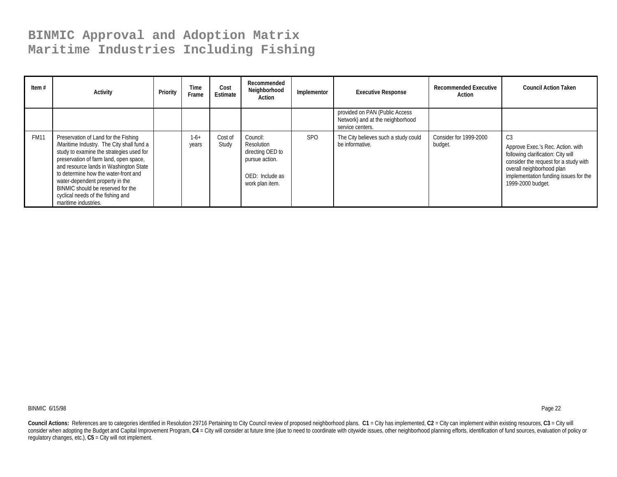| Item $#$    | Activity                                                                                                                                                                                                                                                                                                                                                                                       | Priority | Time<br>Frame   | Cost<br>Estimate | Recommended<br>Neighborhood<br>Action                                                              | Implementor | <b>Executive Response</b>                                                              | <b>Recommended Executive</b><br>Action | <b>Council Action Taken</b>                                                                                                                                                                                       |
|-------------|------------------------------------------------------------------------------------------------------------------------------------------------------------------------------------------------------------------------------------------------------------------------------------------------------------------------------------------------------------------------------------------------|----------|-----------------|------------------|----------------------------------------------------------------------------------------------------|-------------|----------------------------------------------------------------------------------------|----------------------------------------|-------------------------------------------------------------------------------------------------------------------------------------------------------------------------------------------------------------------|
|             |                                                                                                                                                                                                                                                                                                                                                                                                |          |                 |                  |                                                                                                    |             | provided on PAN (Public Access<br>Network) and at the neighborhood<br>service centers. |                                        |                                                                                                                                                                                                                   |
| <b>FM11</b> | Preservation of Land for the Fishing<br>/Maritime Industry. The City shall fund a<br>study to examine the strategies used for<br>preservation of farm land, open space,<br>and resource lands in Washington State<br>to determine how the water-front and<br>water-dependent property in the<br>BINMIC should be reserved for the<br>cyclical needs of the fishing and<br>maritime industries. |          | $1-6+$<br>years | Cost of<br>Study | Council:<br>Resolution<br>directing OED to<br>pursue action.<br>OED: Include as<br>work plan item. | <b>SPO</b>  | The City believes such a study could<br>be informative.                                | Consider for 1999-2000<br>budget.      | C3<br>Approve Exec.'s Rec. Action. with<br>following clarification: City will<br>consider the request for a study with<br>overall neighborhood plan<br>implementation funding issues for the<br>1999-2000 budget. |

BINMIC 6/15/98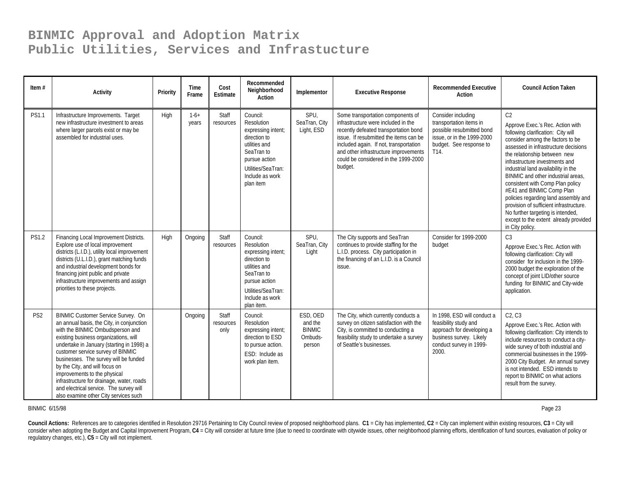| Item $#$        | Activity                                                                                                                                                                                                                                                                                                                                                                                                                                                                                   | Priority | Time<br>Frame   | Cost<br><b>Estimate</b>    | Recommended<br>Neighborhood<br>Action                                                                                                                               | Implementor                                               | <b>Executive Response</b>                                                                                                                                                                                                                                                                         | <b>Recommended Executive</b><br>Action                                                                                                           | <b>Council Action Taken</b>                                                                                                                                                                                                                                                                                                                                                                                                                                                                                                                                              |
|-----------------|--------------------------------------------------------------------------------------------------------------------------------------------------------------------------------------------------------------------------------------------------------------------------------------------------------------------------------------------------------------------------------------------------------------------------------------------------------------------------------------------|----------|-----------------|----------------------------|---------------------------------------------------------------------------------------------------------------------------------------------------------------------|-----------------------------------------------------------|---------------------------------------------------------------------------------------------------------------------------------------------------------------------------------------------------------------------------------------------------------------------------------------------------|--------------------------------------------------------------------------------------------------------------------------------------------------|--------------------------------------------------------------------------------------------------------------------------------------------------------------------------------------------------------------------------------------------------------------------------------------------------------------------------------------------------------------------------------------------------------------------------------------------------------------------------------------------------------------------------------------------------------------------------|
| <b>PS1.1</b>    | Infrastructure Improvements. Target<br>new infrastructure investment to areas<br>where larger parcels exist or may be<br>assembled for industrial uses.                                                                                                                                                                                                                                                                                                                                    | High     | $1-6+$<br>years | Staff<br>resources         | Council:<br>Resolution<br>expressing intent;<br>direction to<br>utilities and<br>SeaTran to<br>pursue action<br>Utilities/SeaTran:<br>Include as work<br>plan item  | SPU,<br>SeaTran, City<br>Light, ESD                       | Some transportation components of<br>infrastructure were included in the<br>recently defeated transportation bond<br>issue. If resubmitted the items can be<br>included again. If not, transportation<br>and other infrastructure improvements<br>could be considered in the 1999-2000<br>budget. | Consider including<br>transportation items in<br>possible resubmitted bond<br>issue, or in the 1999-2000<br>budget. See response to<br>T14.      | C <sub>2</sub><br>Approve Exec.'s Rec. Action with<br>following clarification: City will<br>consider among the factors to be<br>assessed in infrastructure decisions<br>the relationship between new<br>infrastructure investments and<br>industrial land availability in the<br>BINMIC and other industrial areas.<br>consistent with Comp Plan policy<br>#E41 and BINMIC Comp Plan<br>policies regarding land assembly and<br>provision of sufficient infrastructure.<br>No further targeting is intended,<br>except to the extent already provided<br>in City policy. |
| <b>PS1.2</b>    | Financing Local Improvement Districts.<br>Explore use of local improvement<br>districts (L.I.D.), utility local improvement<br>districts (U.L.I.D.), grant matching funds<br>and industrial development bonds for<br>financing joint public and private<br>infrastructure improvements and assign<br>priorities to these projects.                                                                                                                                                         | High     | Ongoing         | Staff<br>resources         | Council:<br>Resolution<br>expressing intent;<br>direction to<br>utilities and<br>SeaTran to<br>pursue action<br>Utilities/SeaTran:<br>Include as work<br>plan item. | SPU,<br>SeaTran, City<br>Light                            | The City supports and SeaTran<br>continues to provide staffing for the<br>L.I.D. process. City participation in<br>the financing of an L.I.D. is a Council<br>issue.                                                                                                                              | Consider for 1999-2000<br>budget                                                                                                                 | C <sub>3</sub><br>Approve Exec.'s Rec. Action with<br>following clarification: City will<br>consider for inclusion in the 1999-<br>2000 budget the exploration of the<br>concept of joint LID/other source<br>funding for BINMIC and City-wide<br>application.                                                                                                                                                                                                                                                                                                           |
| PS <sub>2</sub> | BINMIC Customer Service Survey. On<br>an annual basis, the City, in conjunction<br>with the BINMIC Ombudsperson and<br>existing business organizations, will<br>undertake in January (starting in 1998) a<br>customer service survey of BINMIC<br>businesses. The survey will be funded<br>by the City, and will focus on<br>improvements to the physical<br>infrastructure for drainage, water, roads<br>and electrical service. The survey will<br>also examine other City services such |          | Ongoing         | Staff<br>resources<br>only | Council:<br>Resolution<br>expressing intent;<br>direction to ESD<br>to pursue action.<br>ESD: Include as<br>work plan item.                                         | ESD, OED<br>and the<br><b>BINMIC</b><br>Ombuds-<br>person | The City, which currently conducts a<br>survey on citizen satisfaction with the<br>City, is committed to conducting a<br>feasibility study to undertake a survey<br>of Seattle's businesses.                                                                                                      | In 1998, ESD will conduct a<br>feasibility study and<br>approach for developing a<br>business survey. Likely<br>conduct survey in 1999-<br>2000. | C2, C3<br>Approve Exec.'s Rec. Action with<br>following clarification: City intends to<br>include resources to conduct a city-<br>wide survey of both industrial and<br>commercial businesses in the 1999-<br>2000 City Budget. An annual survey<br>is not intended. ESD intends to<br>report to BINMIC on what actions<br>result from the survey.                                                                                                                                                                                                                       |

BINMIC 6/15/98

Page 23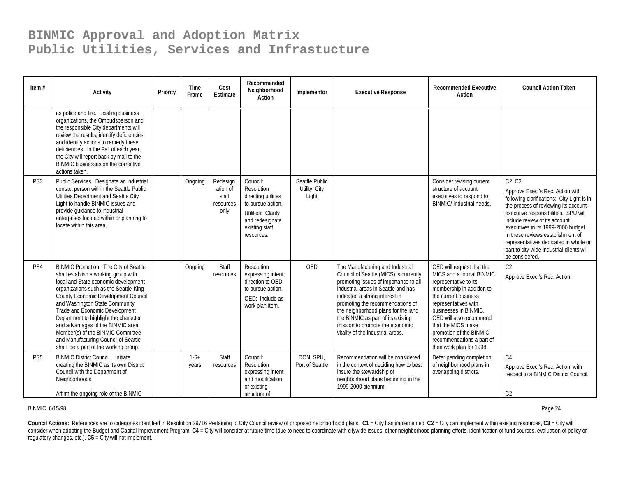| Item $#$        | <b>Activity</b>                                                                                                                                                                                                                                                                                                                                                                                                                                                                 | Priority | <b>Time</b><br>Frame | Cost<br>Estimate                                   | Recommended<br>Neighborhood<br>Action                                                                                                       | Implementor                              | <b>Executive Response</b>                                                                                                                                                                                                                                                                                                                                                             | <b>Recommended Executive</b><br><b>Action</b>                                                                                                                                                                                                                                                                              | <b>Council Action Taken</b>                                                                                                                                                                                                                                                                                                                                                                   |
|-----------------|---------------------------------------------------------------------------------------------------------------------------------------------------------------------------------------------------------------------------------------------------------------------------------------------------------------------------------------------------------------------------------------------------------------------------------------------------------------------------------|----------|----------------------|----------------------------------------------------|---------------------------------------------------------------------------------------------------------------------------------------------|------------------------------------------|---------------------------------------------------------------------------------------------------------------------------------------------------------------------------------------------------------------------------------------------------------------------------------------------------------------------------------------------------------------------------------------|----------------------------------------------------------------------------------------------------------------------------------------------------------------------------------------------------------------------------------------------------------------------------------------------------------------------------|-----------------------------------------------------------------------------------------------------------------------------------------------------------------------------------------------------------------------------------------------------------------------------------------------------------------------------------------------------------------------------------------------|
|                 | as police and fire. Existing business<br>organizations, the Ombudsperson and<br>the responsible City departments will<br>review the results, identify deficiencies<br>and identify actions to remedy these<br>deficiencies. In the Fall of each year,<br>the City will report back by mail to the<br>BINMIC businesses on the corrective<br>actions taken.                                                                                                                      |          |                      |                                                    |                                                                                                                                             |                                          |                                                                                                                                                                                                                                                                                                                                                                                       |                                                                                                                                                                                                                                                                                                                            |                                                                                                                                                                                                                                                                                                                                                                                               |
| PS <sub>3</sub> | Public Services. Designate an industrial<br>contact person within the Seattle Public<br>Utilities Department and Seattle City<br>Light to handle BINMIC issues and<br>provide quidance to industrial<br>enterprises located within or planning to<br>locate within this area.                                                                                                                                                                                                   |          | Ongoing              | Redesign<br>ation of<br>staff<br>resources<br>only | Council:<br>Resolution<br>directing utilities<br>to pursue action.<br>Utilities: Clarify<br>and redesignate<br>existing staff<br>resources. | Seattle Public<br>Utility, City<br>Light |                                                                                                                                                                                                                                                                                                                                                                                       | Consider revising current<br>structure of account<br>executives to respond to<br><b>BINMIC/Industrial needs.</b>                                                                                                                                                                                                           | C2. C3<br>Approve Exec.'s Rec. Action with<br>following clarifications: City Light is in<br>the process of reviewing its account<br>executive responsibilities. SPU will<br>include review of its account<br>executives in its 1999-2000 budget.<br>In these reviews establishment of<br>representatives dedicated in whole or<br>part to city-wide industrial clients will<br>be considered. |
| PS4             | BINMIC Promotion. The City of Seattle<br>shall establish a working group with<br>local and State economic development<br>organizations such as the Seattle-King<br>County Economic Development Council<br>and Washington State Community<br>Trade and Economic Development<br>Department to highlight the character<br>and advantages of the BINMIC area.<br>Member(s) of the BINMIC Committee<br>and Manufacturing Council of Seattle<br>shall be a part of the working group. |          | Ongoing              | Staff<br>resources                                 | Resolution<br>expressing intent;<br>direction to OED<br>to pursue action.<br>OED: Include as<br>work plan item.                             | <b>OED</b>                               | The Manufacturing and Industrial<br>Council of Seattle (MICS) is currently<br>promoting issues of importance to all<br>industrial areas in Seattle and has<br>indicated a strong interest in<br>promoting the recommendations of<br>the neighborhood plans for the land<br>the BINMIC as part of its existing<br>mission to promote the economic<br>vitality of the industrial areas. | OED will request that the<br>MICS add a formal BINMIC<br>representative to its<br>membership in addition to<br>the current business<br>representatives with<br>businesses in BINMIC.<br>OED will also recommend<br>that the MICS make<br>promotion of the BINMIC<br>recommendations a part of<br>their work plan for 1998. | C2<br>Approve Exec.'s Rec. Action.                                                                                                                                                                                                                                                                                                                                                            |
| PS <sub>5</sub> | <b>BINMIC District Council. Initiate</b><br>creating the BINMIC as its own District<br>Council with the Department of<br>Neighborhoods.<br>Affirm the ongoing role of the BINMIC                                                                                                                                                                                                                                                                                                |          | $1-6+$<br>years      | Staff<br>resources                                 | Council:<br>Resolution<br>expressing intent<br>and modification<br>of existing<br>structure of                                              | DON, SPU,<br>Port of Seattle             | Recommendation will be considered<br>in the context of deciding how to best<br>insure the stewardship of<br>neighborhood plans beginning in the<br>1999-2000 biennium.                                                                                                                                                                                                                | Defer pending completion<br>of neighborhood plans in<br>overlapping districts.                                                                                                                                                                                                                                             | C <sub>4</sub><br>Approve Exec.'s Rec. Action with<br>respect to a BINMIC District Council.<br>C <sub>2</sub>                                                                                                                                                                                                                                                                                 |

BINMIC 6/15/98

es and the contract of the contract of the contract of the contract of the contract of the contract of the contract of the contract of the contract of the contract of the contract of the contract of the contract of the con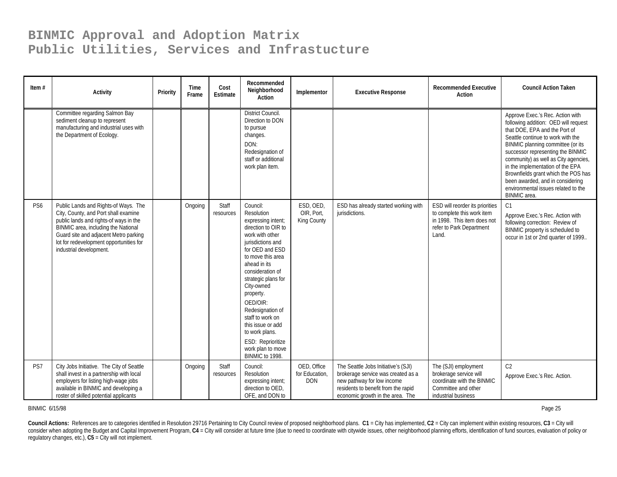| Item $#$        | <b>Activity</b>                                                                                                                                                                                                                                                              | Priority | Time<br>Frame | Cost<br><b>Estimate</b> | Recommended<br>Neighborhood<br>Action                                                                                                                                                                                                                                                                                                                                                             | Implementor                                 | <b>Executive Response</b>                                                                                                                                                          | <b>Recommended Executive</b><br>Action                                                                                            | <b>Council Action Taken</b>                                                                                                                                                                                                                                                                                                                                                                                                            |
|-----------------|------------------------------------------------------------------------------------------------------------------------------------------------------------------------------------------------------------------------------------------------------------------------------|----------|---------------|-------------------------|---------------------------------------------------------------------------------------------------------------------------------------------------------------------------------------------------------------------------------------------------------------------------------------------------------------------------------------------------------------------------------------------------|---------------------------------------------|------------------------------------------------------------------------------------------------------------------------------------------------------------------------------------|-----------------------------------------------------------------------------------------------------------------------------------|----------------------------------------------------------------------------------------------------------------------------------------------------------------------------------------------------------------------------------------------------------------------------------------------------------------------------------------------------------------------------------------------------------------------------------------|
|                 | Committee regarding Salmon Bay<br>sediment cleanup to represent<br>manufacturing and industrial uses with<br>the Department of Ecology.                                                                                                                                      |          |               |                         | <b>District Council.</b><br>Direction to DON<br>to pursue<br>changes.<br>DON:<br>Redesignation of<br>staff or additional<br>work plan item.                                                                                                                                                                                                                                                       |                                             |                                                                                                                                                                                    |                                                                                                                                   | Approve Exec.'s Rec. Action with<br>following addition: OED will request<br>that DOE, EPA and the Port of<br>Seattle continue to work with the<br>BINMIC planning committee (or its<br>successor representing the BINMIC<br>community) as well as City agencies,<br>in the implementation of the EPA<br>Brownfields grant which the POS has<br>been awarded, and in considering<br>environmental issues related to the<br>BINMIC area. |
| PS <sub>6</sub> | Public Lands and Rights-of Ways. The<br>City, County, and Port shall examine<br>public lands and rights-of ways in the<br>BINMIC area, including the National<br>Guard site and adjacent Metro parking<br>lot for redevelopment opportunities for<br>industrial development. |          | Ongoing       | Staff<br>resources      | Council:<br>Resolution<br>expressing intent;<br>direction to OIR to<br>work with other<br>jurisdictions and<br>for OED and ESD<br>to move this area<br>ahead in its<br>consideration of<br>strategic plans for<br>City-owned<br>property.<br>OED/OIR:<br>Redesignation of<br>staff to work on<br>this issue or add<br>to work plans.<br>ESD: Reprioritize<br>work plan to move<br>BINMIC to 1998. | ESD, OED.<br>OIR, Port,<br>King County      | ESD has already started working with<br>jurisdictions.                                                                                                                             | ESD will reorder its priorities<br>to complete this work item<br>in 1998. This item does not<br>refer to Park Department<br>Land. | C1<br>Approve Exec.'s Rec. Action with<br>following correction: Review of<br>BINMIC property is scheduled to<br>occur in 1st or 2nd quarter of 1999                                                                                                                                                                                                                                                                                    |
| PS7             | City Jobs Initiative. The City of Seattle<br>shall invest in a partnership with local<br>employers for listing high-wage jobs<br>available in BINMIC and developing a<br>roster of skilled potential applicants                                                              |          | Ongoing       | Staff<br>resources      | Council:<br>Resolution<br>expressing intent;<br>direction to OED,<br>OFE, and DON to                                                                                                                                                                                                                                                                                                              | OED, Office<br>for Education,<br><b>DON</b> | The Seattle Jobs Initiative's (SJI)<br>brokerage service was created as a<br>new pathway for low income<br>residents to benefit from the rapid<br>economic growth in the area. The | The (SJI) employment<br>brokerage service will<br>coordinate with the BINMIC<br>Committee and other<br>industrial business        | C <sub>2</sub><br>Approve Exec.'s Rec. Action.                                                                                                                                                                                                                                                                                                                                                                                         |

BINMIC 6/15/98

entitive to the control of the control of the control of the control of the control of the control of the control of the control of the control of the control of the control of the control of the control of the control of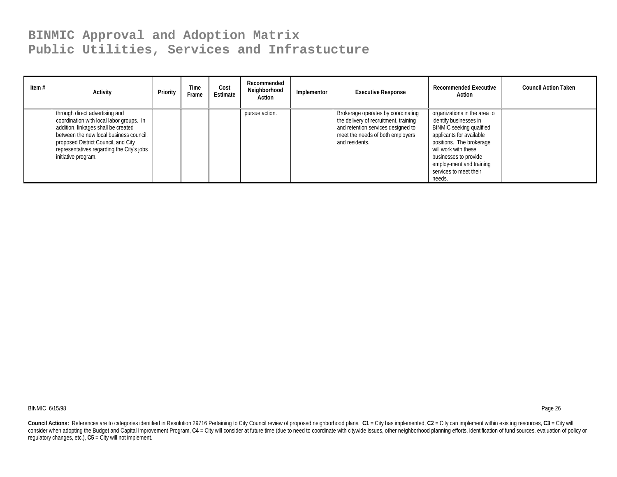| Item $#$ | Activity                                                                                                                                                                                                                                                                | Priority | Time<br>Frame | Cost<br>Estimate | Recommended<br>Neighborhood<br>Action | Implementor | <b>Executive Response</b>                                                                                                                                               | <b>Recommended Executive</b><br>Action                                                                                                                                                                                                                             | <b>Council Action Taken</b> |
|----------|-------------------------------------------------------------------------------------------------------------------------------------------------------------------------------------------------------------------------------------------------------------------------|----------|---------------|------------------|---------------------------------------|-------------|-------------------------------------------------------------------------------------------------------------------------------------------------------------------------|--------------------------------------------------------------------------------------------------------------------------------------------------------------------------------------------------------------------------------------------------------------------|-----------------------------|
|          | through direct advertising and<br>coordination with local labor groups. In<br>addition, linkages shall be created<br>between the new local business council,<br>proposed District Council, and City<br>representatives regarding the City's jobs<br>initiative program. |          |               |                  | pursue action.                        |             | Brokerage operates by coordinating<br>the delivery of recruitment, training<br>and retention services designed to<br>meet the needs of both employers<br>and residents. | organizations in the area to<br>identify businesses in<br><b>BINMIC</b> seeking qualified<br>applicants for available<br>positions. The brokerage<br>will work with these<br>businesses to provide<br>employ-ment and training<br>services to meet their<br>needs. |                             |

BINMIC 6/15/98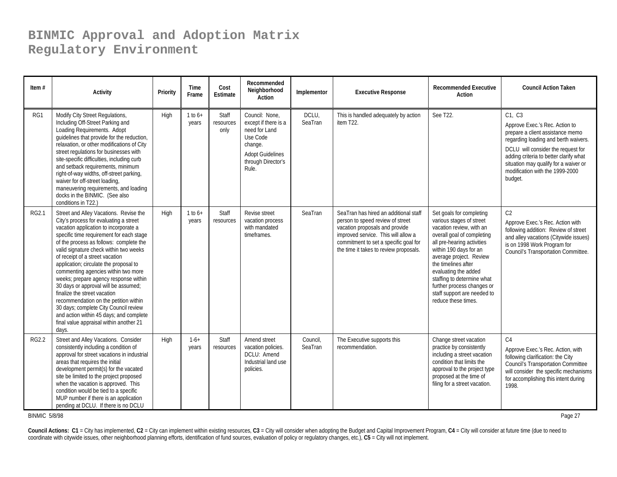| Item $#$     | <b>Activity</b>                                                                                                                                                                                                                                                                                                                                                                                                                                                                                                                                                                                                                                                                  | Priority | Time<br>Frame        | Cost<br>Estimate           | Recommended<br>Neighborhood<br>Action                                                                                                    | Implementor         | <b>Executive Response</b>                                                                                                                                                                                                             | <b>Recommended Executive</b><br>Action                                                                                                                                                                                                                                                                                                                             | <b>Council Action Taken</b>                                                                                                                                                                                                                                                                 |
|--------------|----------------------------------------------------------------------------------------------------------------------------------------------------------------------------------------------------------------------------------------------------------------------------------------------------------------------------------------------------------------------------------------------------------------------------------------------------------------------------------------------------------------------------------------------------------------------------------------------------------------------------------------------------------------------------------|----------|----------------------|----------------------------|------------------------------------------------------------------------------------------------------------------------------------------|---------------------|---------------------------------------------------------------------------------------------------------------------------------------------------------------------------------------------------------------------------------------|--------------------------------------------------------------------------------------------------------------------------------------------------------------------------------------------------------------------------------------------------------------------------------------------------------------------------------------------------------------------|---------------------------------------------------------------------------------------------------------------------------------------------------------------------------------------------------------------------------------------------------------------------------------------------|
| RG1          | Modify City Street Regulations,<br>Including Off-Street Parking and<br>Loading Requirements. Adopt<br>quidelines that provide for the reduction,<br>relaxation, or other modifications of City<br>street regulations for businesses with<br>site-specific difficulties, including curb<br>and setback requirements, minimum<br>right-of-way widths, off-street parking,<br>waiver for off-street loading,<br>maneuvering requirements, and loading<br>docks in the BINMIC. (See also<br>conditions in T22.)                                                                                                                                                                      | High     | $1 to 6+$<br>years   | Staff<br>resources<br>only | Council: None.<br>except if there is a<br>need for Land<br>Use Code<br>change.<br><b>Adopt Guidelines</b><br>through Director's<br>Rule. | DCLU,<br>SeaTran    | This is handled adequately by action<br>item T22.                                                                                                                                                                                     | See T22.                                                                                                                                                                                                                                                                                                                                                           | C1, C3<br>Approve Exec.'s Rec. Action to<br>prepare a client assistance memo<br>regarding loading and berth waivers.<br>DCLU will consider the request for<br>adding criteria to better clarify what<br>situation may qualify for a waiver or<br>modification with the 1999-2000<br>budget. |
| <b>RG2.1</b> | Street and Alley Vacations. Revise the<br>City's process for evaluating a street<br>vacation application to incorporate a<br>specific time requirement for each stage<br>of the process as follows: complete the<br>valid signature check within two weeks<br>of receipt of a street vacation<br>application; circulate the proposal to<br>commenting agencies within two more<br>weeks; prepare agency response within<br>30 days or approval will be assumed;<br>finalize the street vacation<br>recommendation on the petition within<br>30 days; complete City Council review<br>and action within 45 days; and complete<br>final value appraisal within another 21<br>days. | High     | $1$ to $6+$<br>years | Staff<br>resources         | Revise street<br>vacation process<br>with mandated<br>timeframes.                                                                        | SeaTran             | SeaTran has hired an additional staff<br>person to speed review of street<br>vacation proposals and provide<br>improved service. This will allow a<br>commitment to set a specific goal for<br>the time it takes to review proposals. | Set goals for completing<br>various stages of street<br>vacation review, with an<br>overall goal of completing<br>all pre-hearing activities<br>within 190 days for an<br>average project. Review<br>the timelines after<br>evaluating the added<br>staffing to determine what<br>further process changes or<br>staff support are needed to<br>reduce these times. | C <sub>2</sub><br>Approve Exec.'s Rec. Action with<br>following addition: Review of street<br>and alley vacations (Citywide issues)<br>is on 1998 Work Program for<br>Council's Transportation Committee.                                                                                   |
| <b>RG2.2</b> | Street and Alley Vacations. Consider<br>consistently including a condition of<br>approval for street vacations in industrial<br>areas that requires the initial<br>development permit(s) for the vacated<br>site be limited to the project proposed<br>when the vacation is approved. This<br>condition would be tied to a specific<br>MUP number if there is an application<br>pending at DCLU. If there is no DCLU                                                                                                                                                                                                                                                             | High     | $1-6+$<br>years      | Staff<br>resources         | Amend street<br>vacation policies.<br>DCLU: Amend<br>Industrial land use<br>policies.                                                    | Council,<br>SeaTran | The Executive supports this<br>recommendation.                                                                                                                                                                                        | Change street vacation<br>practice by consistently<br>including a street vacation<br>condition that limits the<br>approval to the project type<br>proposed at the time of<br>filing for a street vacation.                                                                                                                                                         | C <sub>4</sub><br>Approve Exec.'s Rec. Action, with<br>following clarification: the City<br><b>Council's Transportation Committee</b><br>will consider the specific mechanisms<br>for accomplishing this intent during<br>1998.                                                             |

BINMIC 5/8/98

en and the second state of the second state of the second state of the second state of the second state  $P$  and  $27\,$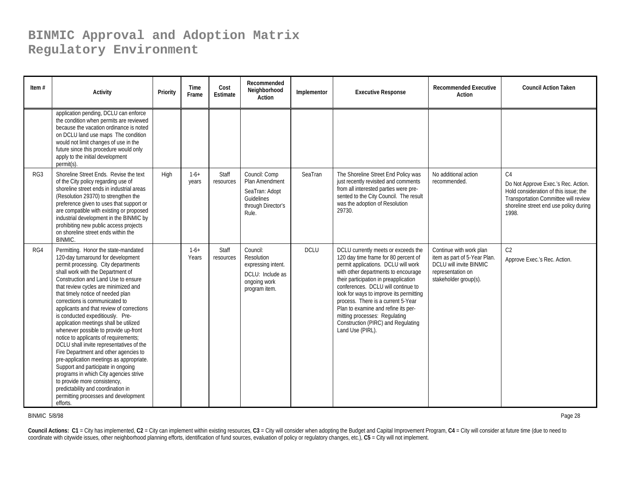| Item $#$        | Activity                                                                                                                                                                                                                                                                                                                                                                                                                                                                                                                                                                                                                                                                                                                                                                                                                                                             | Priority | Time<br>Frame   | Cost<br><b>Estimate</b> | Recommended<br>Neighborhood<br>Action                                                             | Implementor | <b>Executive Response</b>                                                                                                                                                                                                                                                                                                                                                                                                                                   | <b>Recommended Executive</b><br><b>Action</b>                                                                                    | <b>Council Action Taken</b>                                                                                                                                                               |
|-----------------|----------------------------------------------------------------------------------------------------------------------------------------------------------------------------------------------------------------------------------------------------------------------------------------------------------------------------------------------------------------------------------------------------------------------------------------------------------------------------------------------------------------------------------------------------------------------------------------------------------------------------------------------------------------------------------------------------------------------------------------------------------------------------------------------------------------------------------------------------------------------|----------|-----------------|-------------------------|---------------------------------------------------------------------------------------------------|-------------|-------------------------------------------------------------------------------------------------------------------------------------------------------------------------------------------------------------------------------------------------------------------------------------------------------------------------------------------------------------------------------------------------------------------------------------------------------------|----------------------------------------------------------------------------------------------------------------------------------|-------------------------------------------------------------------------------------------------------------------------------------------------------------------------------------------|
|                 | application pending, DCLU can enforce<br>the condition when permits are reviewed<br>because the vacation ordinance is noted<br>on DCLU land use maps The condition<br>would not limit changes of use in the<br>future since this procedure would only<br>apply to the initial development<br>permit(s).                                                                                                                                                                                                                                                                                                                                                                                                                                                                                                                                                              |          |                 |                         |                                                                                                   |             |                                                                                                                                                                                                                                                                                                                                                                                                                                                             |                                                                                                                                  |                                                                                                                                                                                           |
| RG <sub>3</sub> | Shoreline Street Ends. Revise the text<br>of the City policy regarding use of<br>shoreline street ends in industrial areas<br>(Resolution 29370) to strengthen the<br>preference given to uses that support or<br>are compatible with existing or proposed<br>industrial development in the BINMIC by<br>prohibiting new public access projects<br>on shoreline street ends within the<br>BINMIC.                                                                                                                                                                                                                                                                                                                                                                                                                                                                    | High     | $1-6+$<br>years | Staff<br>resources      | Council: Comp<br>Plan Amendment<br>SeaTran: Adopt<br>Guidelines<br>through Director's<br>Rule.    | SeaTran     | The Shoreline Street End Policy was<br>just recently revisited and comments<br>from all interested parties were pre-<br>sented to the City Council. The result<br>was the adoption of Resolution<br>29730.                                                                                                                                                                                                                                                  | No additional action<br>recommended.                                                                                             | C <sub>4</sub><br>Do Not Approve Exec.'s Rec. Action.<br>Hold consideration of this issue: the<br>Transportation Committee will review<br>shoreline street end use policy during<br>1998. |
| RG4             | Permitting. Honor the state-mandated<br>120-day turnaround for development<br>permit processing. City departments<br>shall work with the Department of<br>Construction and Land Use to ensure<br>that review cycles are minimized and<br>that timely notice of needed plan<br>corrections is communicated to<br>applicants and that review of corrections<br>is conducted expeditiously. Pre-<br>application meetings shall be utilized<br>whenever possible to provide up-front<br>notice to applicants of requirements;<br>DCLU shall invite representatives of the<br>Fire Department and other agencies to<br>pre-application meetings as appropriate.<br>Support and participate in ongoing<br>programs in which City agencies strive<br>to provide more consistency,<br>predictability and coordination in<br>permitting processes and development<br>efforts. |          | $1-6+$<br>Years | Staff<br>resources      | Council:<br>Resolution<br>expressing intent.<br>DCLU: Include as<br>ongoing work<br>program item. | <b>DCLU</b> | DCLU currently meets or exceeds the<br>120 day time frame for 80 percent of<br>permit applications. DCLU will work<br>with other departments to encourage<br>their participation in preapplication<br>conferences. DCLU will continue to<br>look for ways to improve its permitting<br>process. There is a current 5-Year<br>Plan to examine and refine its per-<br>mitting processes: Regulating<br>Construction (PIRC) and Regulating<br>Land Use (PIRL). | Continue with work plan<br>item as part of 5-Year Plan.<br>DCLU will invite BINMIC<br>representation on<br>stakeholder group(s). | C <sub>2</sub><br>Approve Exec.'s Rec. Action.                                                                                                                                            |

BINMIC 5/8/98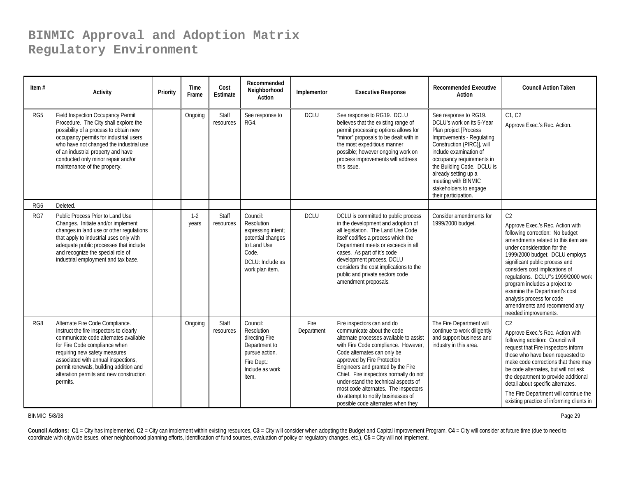| Item $#$        | <b>Activity</b>                                                                                                                                                                                                                                                                                                               | Priority | Time<br>Frame  | Cost<br>Estimate   | Recommended<br>Neighborhood<br>Action                                                                                            | Implementor        | <b>Executive Response</b>                                                                                                                                                                                                                                                                                                                                                                                                                           | <b>Recommended Executive</b><br>Action                                                                                                                                                                                                                                                                                       | <b>Council Action Taken</b>                                                                                                                                                                                                                                                                                                                                                                                                                                    |
|-----------------|-------------------------------------------------------------------------------------------------------------------------------------------------------------------------------------------------------------------------------------------------------------------------------------------------------------------------------|----------|----------------|--------------------|----------------------------------------------------------------------------------------------------------------------------------|--------------------|-----------------------------------------------------------------------------------------------------------------------------------------------------------------------------------------------------------------------------------------------------------------------------------------------------------------------------------------------------------------------------------------------------------------------------------------------------|------------------------------------------------------------------------------------------------------------------------------------------------------------------------------------------------------------------------------------------------------------------------------------------------------------------------------|----------------------------------------------------------------------------------------------------------------------------------------------------------------------------------------------------------------------------------------------------------------------------------------------------------------------------------------------------------------------------------------------------------------------------------------------------------------|
| RG <sub>5</sub> | Field Inspection Occupancy Permit<br>Procedure. The City shall explore the<br>possibility of a process to obtain new<br>occupancy permits for industrial users<br>who have not changed the industrial use<br>of an industrial property and have<br>conducted only minor repair and/or<br>maintenance of the property.         |          | Ongoing        | Staff<br>resources | See response to<br>RG4.                                                                                                          | <b>DCLU</b>        | See response to RG19. DCLU<br>believes that the existing range of<br>permit processing options allows for<br>"minor" proposals to be dealt with in<br>the most expeditious manner<br>possible; however ongoing work on<br>process improvements will address<br>this issue.                                                                                                                                                                          | See response to RG19.<br>DCLU's work on its 5-Year<br>Plan project [Process<br>Improvements - Regulating<br>Construction (PIRC)], will<br>include examination of<br>occupancy requirements in<br>the Building Code. DCLU is<br>already setting up a<br>meeting with BINMIC<br>stakeholders to engage<br>their participation. | C1. C2<br>Approve Exec.'s Rec. Action.                                                                                                                                                                                                                                                                                                                                                                                                                         |
| RG6             | Deleted.                                                                                                                                                                                                                                                                                                                      |          |                |                    |                                                                                                                                  |                    |                                                                                                                                                                                                                                                                                                                                                                                                                                                     |                                                                                                                                                                                                                                                                                                                              |                                                                                                                                                                                                                                                                                                                                                                                                                                                                |
| RG7             | Public Process Prior to Land Use<br>Changes. Initiate and/or implement<br>changes in land use or other regulations<br>that apply to industrial uses only with<br>adequate public processes that include<br>and recognize the special role of<br>industrial employment and tax base.                                           |          | $1-2$<br>years | Staff<br>resources | Council:<br>Resolution<br>expressing intent;<br>potential changes<br>to Land Use<br>Code.<br>DCLU: Include as<br>work plan item. | <b>DCLU</b>        | DCLU is committed to public process<br>in the development and adoption of<br>all legislation. The Land Use Code<br>itself codifies a process which the<br>Department meets or exceeds in all<br>cases. As part of it's code<br>development process, DCLU<br>considers the cost implications to the<br>public and private sectors code<br>amendment proposals.                                                                                       | Consider amendments for<br>1999/2000 budget.                                                                                                                                                                                                                                                                                 | C <sub>2</sub><br>Approve Exec.'s Rec. Action with<br>following correction: No budget<br>amendments related to this item are<br>under consideration for the<br>1999/2000 budget. DCLU employs<br>significant public process and<br>considers cost implications of<br>regulations. DCLU"s 1999/2000 work<br>program includes a project to<br>examine the Department's cost<br>analysis process for code<br>amendments and recommend any<br>needed improvements. |
| RG8             | Alternate Fire Code Compliance.<br>Instruct the fire inspectors to clearly<br>communicate code alternates available<br>for Fire Code compliance when<br>requiring new safety measures<br>associated with annual inspections,<br>permit renewals, building addition and<br>alteration permits and new construction<br>permits. |          | Ongoing        | Staff<br>resources | Council:<br>Resolution<br>directing Fire<br>Department to<br>pursue action.<br>Fire Dept.:<br>Include as work<br>item.           | Fire<br>Department | Fire inspectors can and do<br>communicate about the code<br>alternate processes available to assist<br>with Fire Code compliance. However,<br>Code alternates can only be<br>approved by Fire Protection<br>Engineers and granted by the Fire<br>Chief. Fire inspectors normally do not<br>under-stand the technical aspects of<br>most code alternates. The inspectors<br>do attempt to notify businesses of<br>possible code alternates when they | The Fire Department will<br>continue to work diligently<br>and support business and<br>industry in this area.                                                                                                                                                                                                                | C <sub>2</sub><br>Approve Exec.'s Rec. Action with<br>following addition: Council will<br>request that Fire inspectors inform<br>those who have been requested to<br>make code corrections that there may<br>be code alternates, but will not ask<br>the department to provide additional<br>detail about specific alternates.<br>The Fire Department will continue the<br>existing practice of informing clients in                                           |

BINMIC 5/8/98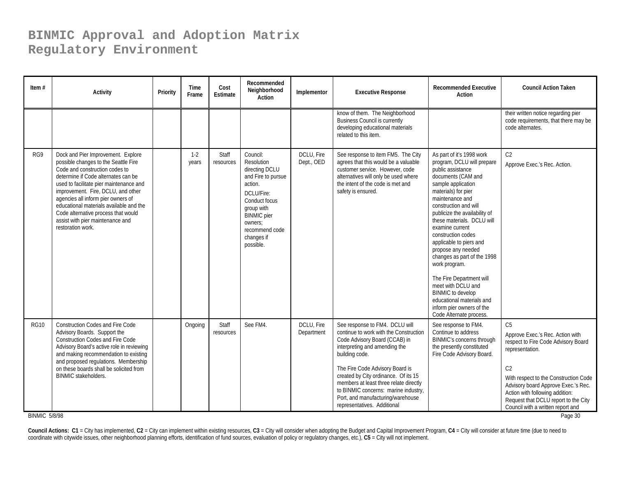| Item $#$                            | <b>Activity</b>                                                                                                                                                                                                                                                                                                                                                                                                       | Priority | Time<br>Frame  | Cost<br><b>Estimate</b> | Recommended<br>Neighborhood<br>Action                                                                                                                                                                | Implementor              | <b>Executive Response</b>                                                                                                                                                                                                                                                                                                                                                                     | <b>Recommended Executive</b><br>Action                                                                                                                                                                                                                                                                                                                                                                                                                                                                                                                                  | <b>Council Action Taken</b>                                                                                                                                                                                                                                                                                                               |
|-------------------------------------|-----------------------------------------------------------------------------------------------------------------------------------------------------------------------------------------------------------------------------------------------------------------------------------------------------------------------------------------------------------------------------------------------------------------------|----------|----------------|-------------------------|------------------------------------------------------------------------------------------------------------------------------------------------------------------------------------------------------|--------------------------|-----------------------------------------------------------------------------------------------------------------------------------------------------------------------------------------------------------------------------------------------------------------------------------------------------------------------------------------------------------------------------------------------|-------------------------------------------------------------------------------------------------------------------------------------------------------------------------------------------------------------------------------------------------------------------------------------------------------------------------------------------------------------------------------------------------------------------------------------------------------------------------------------------------------------------------------------------------------------------------|-------------------------------------------------------------------------------------------------------------------------------------------------------------------------------------------------------------------------------------------------------------------------------------------------------------------------------------------|
|                                     |                                                                                                                                                                                                                                                                                                                                                                                                                       |          |                |                         |                                                                                                                                                                                                      |                          | know of them. The Neighborhood<br><b>Business Council is currently</b><br>developing educational materials<br>related to this item.                                                                                                                                                                                                                                                           |                                                                                                                                                                                                                                                                                                                                                                                                                                                                                                                                                                         | their written notice regarding pier<br>code requirements, that there may be<br>code alternates.                                                                                                                                                                                                                                           |
| RG9                                 | Dock and Pier Improvement. Explore<br>possible changes to the Seattle Fire<br>Code and construction codes to<br>determine if Code alternates can be<br>used to facilitate pier maintenance and<br>improvement. Fire, DCLU, and other<br>agencies all inform pier owners of<br>educational materials available and the<br>Code alternative process that would<br>assist with pier maintenance and<br>restoration work. |          | $1-2$<br>years | Staff<br>resources      | Council:<br>Resolution<br>directing DCLU<br>and Fire to pursue<br>action.<br>DCLU/Fire:<br>Conduct focus<br>group with<br><b>BINMIC</b> pier<br>owners:<br>recommend code<br>changes if<br>possible. | DCLU, Fire<br>Dept., OED | See response to item FM5. The City<br>agrees that this would be a valuable<br>customer service. However, code<br>alternatives will only be used where<br>the intent of the code is met and<br>safety is ensured.                                                                                                                                                                              | As part of it's 1998 work<br>program, DCLU will prepare<br>public assistance<br>documents (CAM and<br>sample application<br>materials) for pier<br>maintenance and<br>construction and will<br>publicize the availability of<br>these materials. DCLU will<br>examine current<br>construction codes<br>applicable to piers and<br>propose any needed<br>changes as part of the 1998<br>work program.<br>The Fire Department will<br>meet with DCLU and<br><b>BINMIC</b> to develop<br>educational materials and<br>inform pier owners of the<br>Code Alternate process. | C <sub>2</sub><br>Approve Exec.'s Rec. Action.                                                                                                                                                                                                                                                                                            |
| <b>RG10</b><br><b>BINMIC 5/8/98</b> | <b>Construction Codes and Fire Code</b><br>Advisory Boards. Support the<br><b>Construction Codes and Fire Code</b><br>Advisory Board's active role in reviewing<br>and making recommendation to existing<br>and proposed regulations. Membership<br>on these boards shall be solicited from<br><b>BINMIC stakeholders.</b>                                                                                            |          | Ongoing        | Staff<br>resources      | See FM4.                                                                                                                                                                                             | DCLU, Fire<br>Department | See response to FM4. DCLU will<br>continue to work with the Construction<br>Code Advisory Board (CCAB) in<br>interpreting and amending the<br>building code.<br>The Fire Code Advisory Board is<br>created by City ordinance. Of its 15<br>members at least three relate directly<br>to BINMIC concerns: marine industry,<br>Port, and manufacturing/warehouse<br>representatives. Additional | See response to FM4.<br>Continue to address<br>BINMIC's concerns through<br>the presently constituted<br>Fire Code Advisory Board.                                                                                                                                                                                                                                                                                                                                                                                                                                      | C <sub>5</sub><br>Approve Exec.'s Rec. Action with<br>respect to Fire Code Advisory Board<br>representation.<br>C <sub>2</sub><br>With respect to the Construction Code<br>Advisory board Approve Exec.'s Rec.<br>Action with following addition:<br>Request that DCLU report to the City<br>Council with a written report and<br>Page 30 |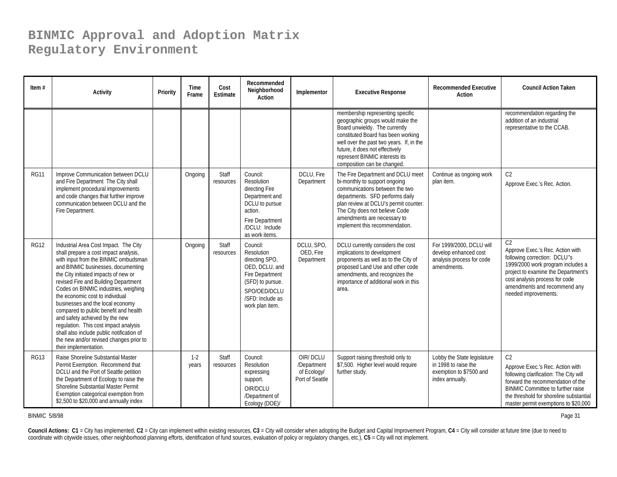| Item $#$    | <b>Activity</b>                                                                                                                                                                                                                                                                                                                                                                                                                                                                                                                                                                                  | Priority | Time<br>Frame  | Cost<br>Estimate   | Recommended<br>Neighborhood<br><b>Action</b>                                                                                                             | Implementor                                               | <b>Executive Response</b>                                                                                                                                                                                                                                                                   | <b>Recommended Executive</b><br>Action                                                            | <b>Council Action Taken</b>                                                                                                                                                                                                                                      |
|-------------|--------------------------------------------------------------------------------------------------------------------------------------------------------------------------------------------------------------------------------------------------------------------------------------------------------------------------------------------------------------------------------------------------------------------------------------------------------------------------------------------------------------------------------------------------------------------------------------------------|----------|----------------|--------------------|----------------------------------------------------------------------------------------------------------------------------------------------------------|-----------------------------------------------------------|---------------------------------------------------------------------------------------------------------------------------------------------------------------------------------------------------------------------------------------------------------------------------------------------|---------------------------------------------------------------------------------------------------|------------------------------------------------------------------------------------------------------------------------------------------------------------------------------------------------------------------------------------------------------------------|
|             |                                                                                                                                                                                                                                                                                                                                                                                                                                                                                                                                                                                                  |          |                |                    |                                                                                                                                                          |                                                           | membership representing specific<br>geographic groups would make the<br>Board unwieldy. The currently<br>constituted Board has been working<br>well over the past two years. If, in the<br>future, it does not effectively<br>represent BINMIC interests its<br>composition can be changed. |                                                                                                   | recommendation regarding the<br>addition of an industrial<br>representative to the CCAB.                                                                                                                                                                         |
| <b>RG11</b> | Improve Communication between DCLU<br>and Fire Department The City shall<br>implement procedural improvements<br>and code changes that further improve<br>communication between DCLU and the<br>Fire Department.                                                                                                                                                                                                                                                                                                                                                                                 |          | Ongoing        | Staff<br>resources | Council:<br>Resolution<br>directing Fire<br>Department and<br>DCLU to pursue<br>action.<br>Fire Department<br>/DCLU: Include<br>as work items.           | DCLU, Fire<br>Department                                  | The Fire Department and DCLU meet<br>bi-monthly to support ongoing<br>communications between the two<br>departments. SFD performs daily<br>plan review at DCLU's permit counter.<br>The City does not believe Code<br>amendments are necessary to<br>implement this recommendation.         | Continue as ongoing work<br>plan item.                                                            | C <sub>2</sub><br>Approve Exec.'s Rec. Action.                                                                                                                                                                                                                   |
| <b>RG12</b> | Industrial Area Cost Impact. The City<br>shall prepare a cost impact analysis,<br>with input from the BINMIC ombudsman<br>and BINMIC businesses, documenting<br>the City initiated impacts of new or<br>revised Fire and Building Department<br>Codes on BINMIC industries, weighing<br>the economic cost to individual<br>businesses and the local economy<br>compared to public benefit and health<br>and safety achieved by the new<br>regulation. This cost impact analysis<br>shall also include public notification of<br>the new and/or revised changes prior to<br>their implementation. |          | Ongoing        | Staff<br>resources | Council:<br>Resolution<br>directing SPO,<br>OED, DCLU, and<br>Fire Department<br>(SFD) to pursue.<br>SPO/OED/DCLU<br>/SFD: Include as<br>work plan item. | DCLU, SPO,<br>OED, Fire<br>Department                     | DCLU currently considers the cost<br>implications to development<br>proponents as well as to the City of<br>proposed Land Use and other code<br>amendments, and recognizes the<br>importance of additional work in this<br>area.                                                            | For 1999/2000, DCLU will<br>develop enhanced cost<br>analysis process for code<br>amendments.     | C <sub>2</sub><br>Approve Exec.'s Rec. Action with<br>following correction: DCLU"s<br>1999/2000 work program includes a<br>project to examine the Department's<br>cost analysis process for code<br>amendments and recommend any<br>needed improvements.         |
| <b>RG13</b> | Raise Shoreline Substantial Master<br>Permit Exemption. Recommend that<br>DCLU and the Port of Seattle petition<br>the Department of Ecology to raise the<br>Shoreline Substantial Master Permit<br>Exemption categorical exemption from<br>\$2,500 to \$20,000 and annually index                                                                                                                                                                                                                                                                                                               |          | $1-2$<br>years | Staff<br>resources | Council:<br>Resolution<br>expressing<br>support.<br>OIR/DCLU<br>/Department of<br>Ecology (DOE)/                                                         | OIR/DCLU<br>/Department<br>of Ecology/<br>Port of Seattle | Support raising threshold only to<br>\$7,500. Higher level would require<br>further study.                                                                                                                                                                                                  | Lobby the State legislature<br>in 1998 to raise the<br>exemption to \$7500 and<br>index annually. | C <sub>2</sub><br>Approve Exec.'s Rec. Action with<br>following clarification: The City will<br>forward the recommendation of the<br><b>BINMIC Committee to further raise</b><br>the threshold for shoreline substantial<br>master permit exemptions to \$20,000 |

BINMIC 5/8/98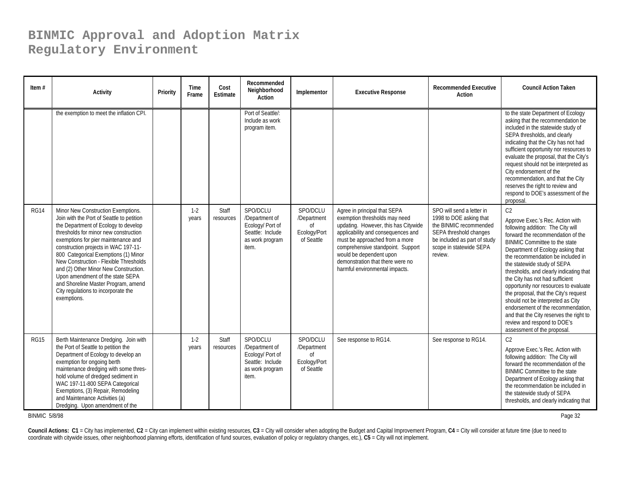| Item $#$    | <b>Activity</b>                                                                                                                                                                                                                                                                                                                                                                                                                                                                                             | Priority | Time<br>Frame  | Cost<br>Estimate   | Recommended<br>Neighborhood<br>Action                                                          | Implementor                                                            | <b>Executive Response</b>                                                                                                                                                                                                                                                                                           | <b>Recommended Executive</b><br>Action                                                                                                                                         | <b>Council Action Taken</b>                                                                                                                                                                                                                                                                                                                                                                                                                                                                                                                                                                                                       |
|-------------|-------------------------------------------------------------------------------------------------------------------------------------------------------------------------------------------------------------------------------------------------------------------------------------------------------------------------------------------------------------------------------------------------------------------------------------------------------------------------------------------------------------|----------|----------------|--------------------|------------------------------------------------------------------------------------------------|------------------------------------------------------------------------|---------------------------------------------------------------------------------------------------------------------------------------------------------------------------------------------------------------------------------------------------------------------------------------------------------------------|--------------------------------------------------------------------------------------------------------------------------------------------------------------------------------|-----------------------------------------------------------------------------------------------------------------------------------------------------------------------------------------------------------------------------------------------------------------------------------------------------------------------------------------------------------------------------------------------------------------------------------------------------------------------------------------------------------------------------------------------------------------------------------------------------------------------------------|
|             | the exemption to meet the inflation CPI.                                                                                                                                                                                                                                                                                                                                                                                                                                                                    |          |                |                    | Port of Seattle/:<br>Include as work<br>program item.                                          |                                                                        |                                                                                                                                                                                                                                                                                                                     |                                                                                                                                                                                | to the state Department of Ecology<br>asking that the recommendation be<br>included in the statewide study of<br>SEPA thresholds, and clearly<br>indicating that the City has not had<br>sufficient opportunity nor resources to<br>evaluate the proposal, that the City's<br>request should not be interpreted as<br>City endorsement of the<br>recommendation, and that the City<br>reserves the right to review and<br>respond to DOE's assessment of the<br>proposal.                                                                                                                                                         |
| <b>RG14</b> | Minor New Construction Exemptions.<br>Join with the Port of Seattle to petition<br>the Department of Ecology to develop<br>thresholds for minor new construction<br>exemptions for pier maintenance and<br>construction projects in WAC 197-11-<br>800 Categorical Exemptions (1) Minor<br>New Construction - Flexible Thresholds<br>and (2) Other Minor New Construction.<br>Upon amendment of the state SEPA<br>and Shoreline Master Program, amend<br>City regulations to incorporate the<br>exemptions. |          | $1-2$<br>years | Staff<br>resources | SPO/DCLU<br>/Department of<br>Ecology/ Port of<br>Seattle: Include<br>as work program<br>item. | SPO/DCLU<br>/Department<br>0f<br>Ecology/Port<br>of Seattle            | Agree in principal that SEPA<br>exemption thresholds may need<br>updating. However, this has Citywide<br>applicability and consequences and<br>must be approached from a more<br>comprehensive standpoint. Support<br>would be dependent upon<br>demonstration that there were no<br>harmful environmental impacts. | SPO will send a letter in<br>1998 to DOE asking that<br>the BINMIC recommended<br>SEPA threshold changes<br>be included as part of study<br>scope in statewide SEPA<br>review. | C <sub>2</sub><br>Approve Exec.'s Rec. Action with<br>following addition: The City will<br>forward the recommendation of the<br><b>BINMIC Committee to the state</b><br>Department of Ecology asking that<br>the recommendation be included in<br>the statewide study of SEPA<br>thresholds, and clearly indicating that<br>the City has not had sufficient<br>opportunity nor resources to evaluate<br>the proposal, that the City's request<br>should not be interpreted as City<br>endorsement of the recommendation,<br>and that the City reserves the right to<br>review and respond to DOE's<br>assessment of the proposal. |
| <b>RG15</b> | Berth Maintenance Dredging. Join with<br>the Port of Seattle to petition the<br>Department of Ecology to develop an<br>exemption for ongoing berth<br>maintenance dredging with some thres-<br>hold volume of dredged sediment in<br>WAC 197-11-800 SEPA Categorical<br>Exemptions, (3) Repair, Remodeling<br>and Maintenance Activities (a)<br>Dredging. Upon amendment of the                                                                                                                             |          | $1-2$<br>years | Staff<br>resources | SPO/DCLU<br>/Department of<br>Ecology/ Port of<br>Seattle: Include<br>as work program<br>item. | SPO/DCLU<br>/Department<br><sub>of</sub><br>Ecology/Port<br>of Seattle | See response to RG14.                                                                                                                                                                                                                                                                                               | See response to RG14.                                                                                                                                                          | C <sub>2</sub><br>Approve Exec.'s Rec. Action with<br>following addition: The City will<br>forward the recommendation of the<br><b>BINMIC Committee to the state</b><br>Department of Ecology asking that<br>the recommendation be included in<br>the statewide study of SEPA<br>thresholds, and clearly indicating that                                                                                                                                                                                                                                                                                                          |

BINMIC 5/8/98

entity and the contract of the contract of the contract of the contract of the contract of the contract of the contract of the contract of the contract of the contract of the contract of the contract of the contract of the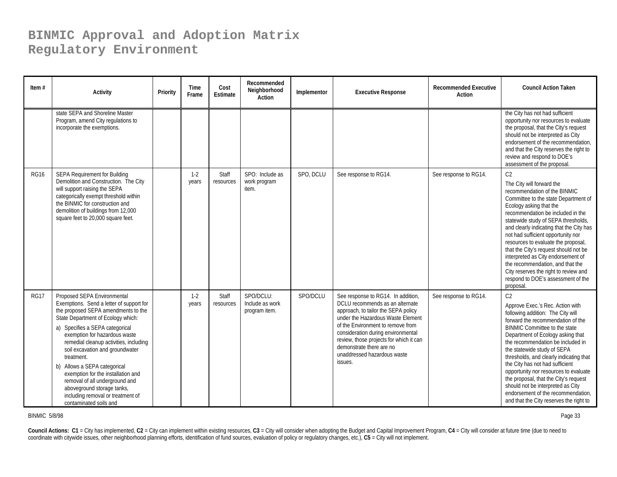| Item $#$    | <b>Activity</b>                                                                                                                                                                                                                                                                                                                                                                                                                                                                                                          | Priority | Time<br>Frame  | Cost<br>Estimate   | Recommended<br>Neighborhood<br><b>Action</b>  | Implementor | <b>Executive Response</b>                                                                                                                                                                                                                                                                                                                     | <b>Recommended Executive</b><br>Action | <b>Council Action Taken</b>                                                                                                                                                                                                                                                                                                                                                                                                                                                                                                                                         |
|-------------|--------------------------------------------------------------------------------------------------------------------------------------------------------------------------------------------------------------------------------------------------------------------------------------------------------------------------------------------------------------------------------------------------------------------------------------------------------------------------------------------------------------------------|----------|----------------|--------------------|-----------------------------------------------|-------------|-----------------------------------------------------------------------------------------------------------------------------------------------------------------------------------------------------------------------------------------------------------------------------------------------------------------------------------------------|----------------------------------------|---------------------------------------------------------------------------------------------------------------------------------------------------------------------------------------------------------------------------------------------------------------------------------------------------------------------------------------------------------------------------------------------------------------------------------------------------------------------------------------------------------------------------------------------------------------------|
|             | state SEPA and Shoreline Master<br>Program, amend City regulations to<br>incorporate the exemptions.                                                                                                                                                                                                                                                                                                                                                                                                                     |          |                |                    |                                               |             |                                                                                                                                                                                                                                                                                                                                               |                                        | the City has not had sufficient<br>opportunity nor resources to evaluate<br>the proposal, that the City's request<br>should not be interpreted as City<br>endorsement of the recommendation.<br>and that the City reserves the right to<br>review and respond to DOE's<br>assessment of the proposal.                                                                                                                                                                                                                                                               |
| RG16        | <b>SEPA Requirement for Building</b><br>Demolition and Construction. The City<br>will support raising the SEPA<br>categorically exempt threshold within<br>the BINMIC for construction and<br>demolition of buildings from 12,000<br>square feet to 20,000 square feet.                                                                                                                                                                                                                                                  |          | $1-2$<br>years | Staff<br>resources | SPO: Include as<br>work program<br>item.      | SPO, DCLU   | See response to RG14.                                                                                                                                                                                                                                                                                                                         | See response to RG14.                  | C <sub>2</sub><br>The City will forward the<br>recommendation of the BINMIC<br>Committee to the state Department of<br>Ecology asking that the<br>recommendation be included in the<br>statewide study of SEPA thresholds,<br>and clearly indicating that the City has<br>not had sufficient opportunity nor<br>resources to evaluate the proposal,<br>that the City's request should not be<br>interpreted as City endorsement of<br>the recommendation, and that the<br>City reserves the right to review and<br>respond to DOE's assessment of the<br>proposal.  |
| <b>RG17</b> | Proposed SEPA Environmental<br>Exemptions. Send a letter of support for<br>the proposed SEPA amendments to the<br>State Department of Ecology which:<br>a) Specifies a SEPA categorical<br>exemption for hazardous waste<br>remedial cleanup activities, including<br>soil excavation and groundwater<br>treatment.<br>b) Allows a SEPA categorical<br>exemption for the installation and<br>removal of all underground and<br>aboveground storage tanks,<br>including removal or treatment of<br>contaminated soils and |          | $1-2$<br>years | Staff<br>resources | SPO/DCLU:<br>Include as work<br>program item. | SPO/DCLU    | See response to RG14. In addition,<br>DCLU recommends as an alternate<br>approach, to tailor the SEPA policy<br>under the Hazardous Waste Element<br>of the Environment to remove from<br>consideration during environmental<br>review, those projects for which it can<br>demonstrate there are no<br>unaddressed hazardous waste<br>issues. | See response to RG14.                  | C <sub>2</sub><br>Approve Exec.'s Rec. Action with<br>following addition: The City will<br>forward the recommendation of the<br><b>BINMIC Committee to the state</b><br>Department of Ecology asking that<br>the recommendation be included in<br>the statewide study of SEPA<br>thresholds, and clearly indicating that<br>the City has not had sufficient<br>opportunity nor resources to evaluate<br>the proposal, that the City's request<br>should not be interpreted as City<br>endorsement of the recommendation.<br>and that the City reserves the right to |

BINMIC 5/8/98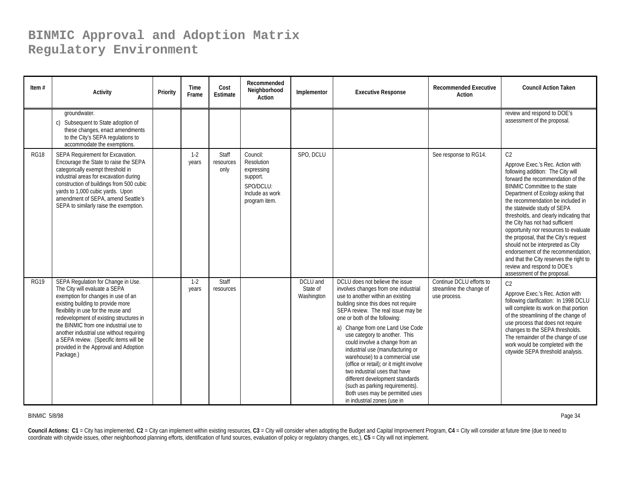| Item $#$    | <b>Activity</b>                                                                                                                                                                                                                                                                                                                                                                                                        | Priority | Time<br>Frame    | Cost<br>Estimate           | Recommended<br>Neighborhood<br>Action                                                             | Implementor                        | <b>Executive Response</b>                                                                                                                                                                                                                                                                                                                                                                                                                                                                                                                                                                                                    | <b>Recommended Executive</b><br>Action                               | <b>Council Action Taken</b>                                                                                                                                                                                                                                                                                                                                                                                                                                                                                                                                                                                                       |
|-------------|------------------------------------------------------------------------------------------------------------------------------------------------------------------------------------------------------------------------------------------------------------------------------------------------------------------------------------------------------------------------------------------------------------------------|----------|------------------|----------------------------|---------------------------------------------------------------------------------------------------|------------------------------------|------------------------------------------------------------------------------------------------------------------------------------------------------------------------------------------------------------------------------------------------------------------------------------------------------------------------------------------------------------------------------------------------------------------------------------------------------------------------------------------------------------------------------------------------------------------------------------------------------------------------------|----------------------------------------------------------------------|-----------------------------------------------------------------------------------------------------------------------------------------------------------------------------------------------------------------------------------------------------------------------------------------------------------------------------------------------------------------------------------------------------------------------------------------------------------------------------------------------------------------------------------------------------------------------------------------------------------------------------------|
|             | groundwater.<br>c) Subsequent to State adoption of<br>these changes, enact amendments<br>to the City's SEPA regulations to<br>accommodate the exemptions.                                                                                                                                                                                                                                                              |          |                  |                            |                                                                                                   |                                    |                                                                                                                                                                                                                                                                                                                                                                                                                                                                                                                                                                                                                              |                                                                      | review and respond to DOE's<br>assessment of the proposal.                                                                                                                                                                                                                                                                                                                                                                                                                                                                                                                                                                        |
| <b>RG18</b> | SEPA Requirement for Excavation.<br>Encourage the State to raise the SEPA<br>categorically exempt threshold in<br>industrial areas for excavation during<br>construction of buildings from 500 cubic<br>yards to 1,000 cubic yards. Upon<br>amendment of SEPA, amend Seattle's<br>SEPA to similarly raise the exemption.                                                                                               |          | $1-2$<br>years   | Staff<br>resources<br>only | Council:<br>Resolution<br>expressing<br>support.<br>SPO/DCLU:<br>Include as work<br>program item. | SPO, DCLU                          |                                                                                                                                                                                                                                                                                                                                                                                                                                                                                                                                                                                                                              | See response to RG14.                                                | C <sub>2</sub><br>Approve Exec.'s Rec. Action with<br>following addition: The City will<br>forward the recommendation of the<br><b>BINMIC Committee to the state</b><br>Department of Ecology asking that<br>the recommendation be included in<br>the statewide study of SEPA<br>thresholds, and clearly indicating that<br>the City has not had sufficient<br>opportunity nor resources to evaluate<br>the proposal, that the City's request<br>should not be interpreted as City<br>endorsement of the recommendation,<br>and that the City reserves the right to<br>review and respond to DOE's<br>assessment of the proposal. |
| <b>RG19</b> | SEPA Regulation for Change in Use.<br>The City will evaluate a SEPA<br>exemption for changes in use of an<br>existing building to provide more<br>flexibility in use for the reuse and<br>redevelopment of existing structures in<br>the BINMIC from one industrial use to<br>another industrial use without requiring<br>a SEPA review. (Specific items will be<br>provided in the Approval and Adoption<br>Package.) |          | $1 - 2$<br>years | Staff<br>resources         |                                                                                                   | DCLU and<br>State of<br>Washington | DCLU does not believe the issue<br>involves changes from one industrial<br>use to another within an existing<br>building since this does not require<br>SEPA review. The real issue may be<br>one or both of the following:<br>a) Change from one Land Use Code<br>use category to another. This<br>could involve a change from an<br>industrial use (manufacturing or<br>warehouse) to a commercial use<br>(office or retail); or it might involve<br>two industrial uses that have<br>different development standards<br>(such as parking requirements).<br>Both uses may be permitted uses<br>in industrial zones (use in | Continue DCLU efforts to<br>streamline the change of<br>use process. | C <sub>2</sub><br>Approve Exec.'s Rec. Action with<br>following clarification: In 1998 DCLU<br>will complete its work on that portion<br>of the streamlining of the change of<br>use process that does not require<br>changes to the SEPA thresholds.<br>The remainder of the change of use<br>work would be completed with the<br>citywide SEPA threshold analysis.                                                                                                                                                                                                                                                              |

BINMIC 5/8/98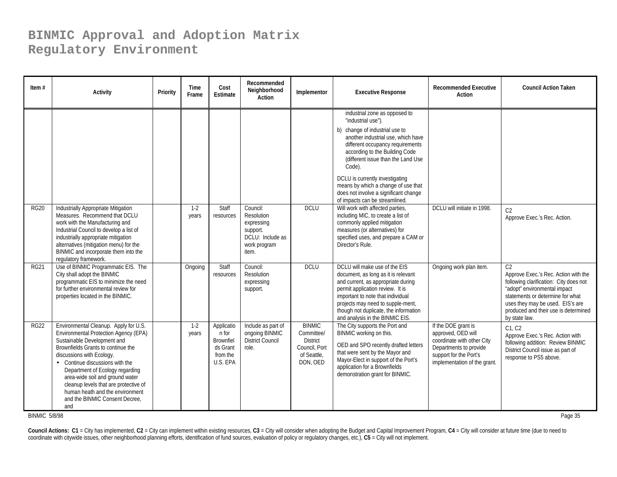| Item $#$    | <b>Activity</b>                                                                                                                                                                                                                                                                                                                                                                                              | Priority | Time<br>Frame  | Cost<br>Estimate                                                     | Recommended<br>Neighborhood<br>Action                                                         | Implementor                                                                         | <b>Executive Response</b>                                                                                                                                                                                                                                                                                                                                                                              | <b>Recommended Executive</b><br>Action                                                                                                                      | <b>Council Action Taken</b>                                                                                                                                                                                                                                       |
|-------------|--------------------------------------------------------------------------------------------------------------------------------------------------------------------------------------------------------------------------------------------------------------------------------------------------------------------------------------------------------------------------------------------------------------|----------|----------------|----------------------------------------------------------------------|-----------------------------------------------------------------------------------------------|-------------------------------------------------------------------------------------|--------------------------------------------------------------------------------------------------------------------------------------------------------------------------------------------------------------------------------------------------------------------------------------------------------------------------------------------------------------------------------------------------------|-------------------------------------------------------------------------------------------------------------------------------------------------------------|-------------------------------------------------------------------------------------------------------------------------------------------------------------------------------------------------------------------------------------------------------------------|
|             |                                                                                                                                                                                                                                                                                                                                                                                                              |          |                |                                                                      |                                                                                               |                                                                                     | industrial zone as opposed to<br>"industrial use").<br>b) change of industrial use to<br>another industrial use, which have<br>different occupancy requirements<br>according to the Building Code<br>(different issue than the Land Use<br>Code).<br>DCLU is currently investigating<br>means by which a change of use that<br>does not involve a significant change<br>of impacts can be streamlined. |                                                                                                                                                             |                                                                                                                                                                                                                                                                   |
| <b>RG20</b> | <b>Industrially Appropriate Mitigation</b><br>Measures. Recommend that DCLU<br>work with the Manufacturing and<br>Industrial Council to develop a list of<br>industrially appropriate mitigation<br>alternatives (mitigation menu) for the<br>BINMIC and incorporate them into the<br>regulatory framework.                                                                                                  |          | $1-2$<br>years | Staff<br>resources                                                   | Council:<br>Resolution<br>expressing<br>support.<br>DCLU: Include as<br>work program<br>item. | <b>DCLU</b>                                                                         | Will work with affected parties,<br>including MIC, to create a list of<br>commonly applied mitigation<br>measures (or alternatives) for<br>specified uses, and prepare a CAM or<br>Director's Rule.                                                                                                                                                                                                    | DCLU will initiate in 1998.                                                                                                                                 | C <sub>2</sub><br>Approve Exec.'s Rec. Action.                                                                                                                                                                                                                    |
| <b>RG21</b> | Use of BINMIC Programmatic EIS. The<br>City shall adopt the BINMIC<br>programmatic EIS to minimize the need<br>for further environmental review for<br>properties located in the BINMIC.                                                                                                                                                                                                                     |          | Ongoing        | Staff<br>resources                                                   | Council:<br>Resolution<br>expressing<br>support.                                              | <b>DCLU</b>                                                                         | DCLU will make use of the EIS<br>document, as long as it is relevant<br>and current, as appropriate during<br>permit application review. It is<br>important to note that individual<br>projects may need to supple-ment,<br>though not duplicate, the information<br>and analysis in the BINMIC EIS.                                                                                                   | Ongoing work plan item.                                                                                                                                     | C <sub>2</sub><br>Approve Exec.'s Rec. Action with the<br>following clarification: City does not<br>"adopt" environmental impact<br>statements or determine for what<br>uses they may be used. EIS's are<br>produced and their use is determined<br>by state law. |
| <b>RG22</b> | Environmental Cleanup. Apply for U.S.<br>Environmental Protection Agency (EPA)<br>Sustainable Development and<br>Brownfields Grants to continue the<br>discussions with Ecology.<br>Continue discussions with the<br>Department of Ecology regarding<br>area-wide soil and ground water<br>cleanup levels that are protective of<br>human heath and the environment<br>and the BINMIC Consent Decree.<br>and |          | $1-2$<br>years | Applicatio<br>n for<br>Brownfiel<br>ds Grant<br>from the<br>U.S. EPA | Include as part of<br>ongoing BINMIC<br><b>District Council</b><br>role.                      | <b>BINMIC</b><br>Committee/<br>District<br>Council, Port<br>of Seattle.<br>DON, OED | The City supports the Port and<br>BINMIC working on this.<br>OED and SPO recently drafted letters<br>that were sent by the Mayor and<br>Mayor-Elect in support of the Port's<br>application for a Brownfields<br>demonstration grant for BINMIC.                                                                                                                                                       | If the DOE grant is<br>approved, OED will<br>coordinate with other City<br>Departments to provide<br>support for the Port's<br>implementation of the grant. | C1, C2<br>Approve Exec.'s Rec. Action with<br>following addition: Review BINMIC<br>District Council issue as part of<br>response to PS5 above.                                                                                                                    |

BINMIC 5/8/98